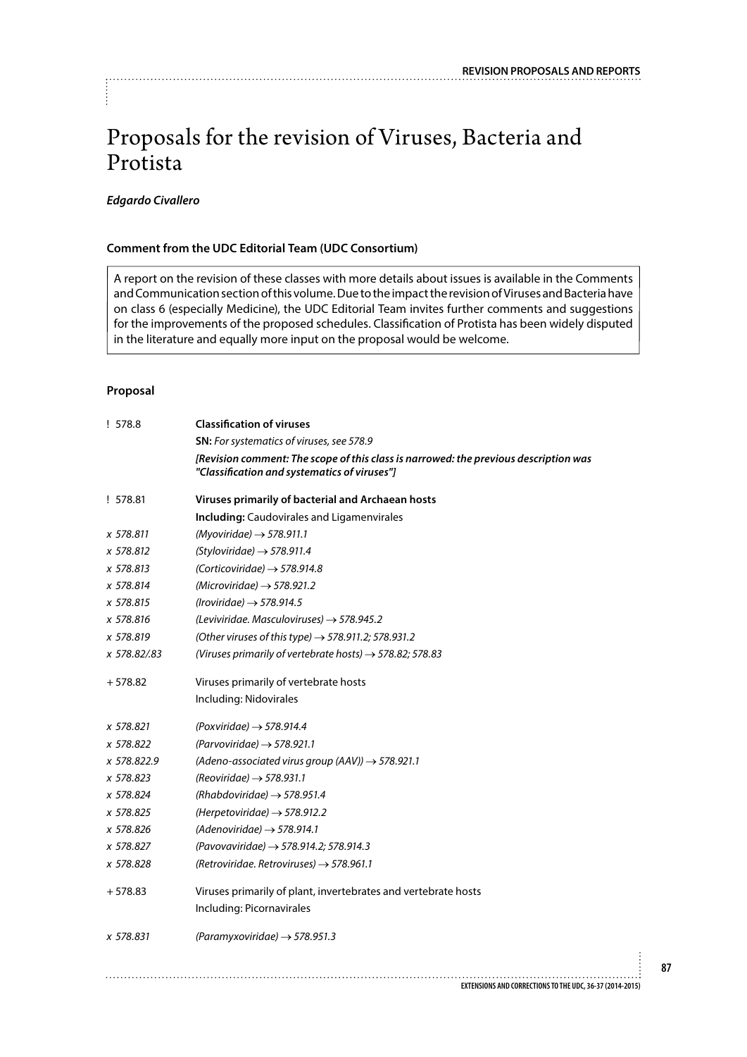# Proposals for the revision of Viruses, Bacteria and Protista

### *Edgardo Civallero*

### **Comment from the UDC Editorial Team (UDC Consortium)**

A report on the revision of these classes with more details about issues is available in the Comments and Communication section of this volume. Due to the impact the revision of Viruses and Bacteria have on class 6 (especially Medicine), the UDC Editorial Team invites further comments and suggestions for the improvements of the proposed schedules. Classification of Protista has been widely disputed in the literature and equally more input on the proposal would be welcome.

#### **Proposal**

| !578.8      | <b>Classification of viruses</b>                                                                                                     |
|-------------|--------------------------------------------------------------------------------------------------------------------------------------|
|             | SN: For systematics of viruses, see 578.9                                                                                            |
|             | [Revision comment: The scope of this class is narrowed: the previous description was<br>"Classification and systematics of viruses"] |
| ! 578.81    | Viruses primarily of bacterial and Archaean hosts                                                                                    |
|             | <b>Including:</b> Caudovirales and Ligamenvirales                                                                                    |
| x 578.811   | (Myoviridae) $\rightarrow$ 578.911.1                                                                                                 |
| x 578.812   | $(Styloviridae) \rightarrow 578.911.4$                                                                                               |
| x 578.813   | (Corticoviridae) $\rightarrow$ 578.914.8                                                                                             |
| x 578.814   | (Microviridae) $\rightarrow$ 578.921.2                                                                                               |
| x 578.815   | (Iroviridae) $\rightarrow$ 578.914.5                                                                                                 |
| x 578.816   | (Leviviridae. Masculoviruses) $\rightarrow$ 578.945.2                                                                                |
| x 578.819   | (Other viruses of this type) $\rightarrow$ 578.911.2; 578.931.2                                                                      |
| x 578.82/83 | (Viruses primarily of vertebrate hosts) $\rightarrow$ 578.82; 578.83                                                                 |
| $+578.82$   | Viruses primarily of vertebrate hosts                                                                                                |
|             | Including: Nidovirales                                                                                                               |
| x 578.821   | (Poxviridae) $\rightarrow$ 578.914.4                                                                                                 |
| x 578.822   | (Parvoviridae) $\rightarrow$ 578.921.1                                                                                               |
| x 578.822.9 | (Adeno-associated virus group (AAV)) $\rightarrow$ 578.921.1                                                                         |
| x 578.823   | (Reoviridae) $\rightarrow$ 578.931.1                                                                                                 |
| x 578.824   | (Rhabdoviridae) $\rightarrow$ 578.951.4                                                                                              |
| x 578.825   | (Herpetoviridae) $\rightarrow$ 578.912.2                                                                                             |
| x 578.826   | $(Adenoviridae) \rightarrow 578.914.1$                                                                                               |
| x 578.827   | (Pavovaviridae) $\rightarrow$ 578.914.2; 578.914.3                                                                                   |
| x 578.828   | (Retroviridae. Retroviruses) $\rightarrow$ 578.961.1                                                                                 |
| $+578.83$   | Viruses primarily of plant, invertebrates and vertebrate hosts                                                                       |
|             | Including: Picornavirales                                                                                                            |
| x 578.831   | $(Paramyxoviridae) \rightarrow 578.951.3$                                                                                            |
|             |                                                                                                                                      |
|             | EXTENSIONS AND CORRECTIONS TO THE UDC, 36-37 (2014-2015)                                                                             |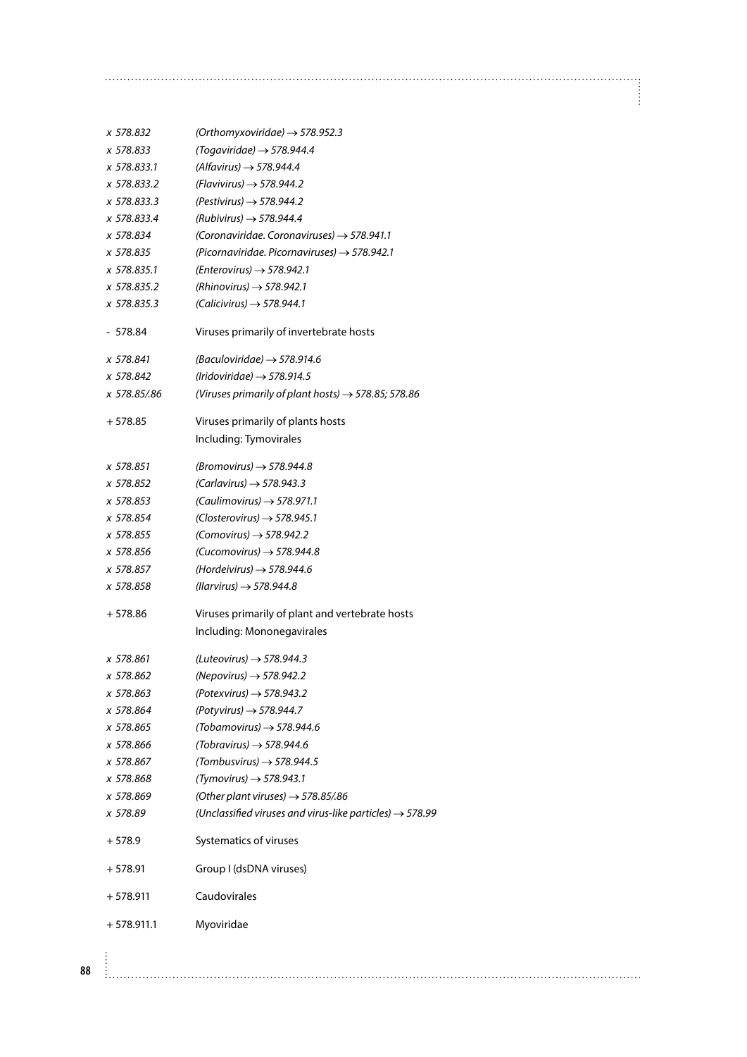| x 578.832    | (Orthomyxoviridae) $\rightarrow$ 578.952.3                           |
|--------------|----------------------------------------------------------------------|
| x 578.833    | $(Togaviridae) \rightarrow 578.944.4$                                |
| x 578.833.1  | (Alfavirus) $\rightarrow$ 578.944.4                                  |
| x 578.833.2  | (Flavivirus) $\rightarrow$ 578.944.2                                 |
| x 578.833.3  | (Pestivirus) $\rightarrow$ 578.944.2                                 |
| x 578.833.4  | (Rubivirus) $\rightarrow$ 578.944.4                                  |
| x 578.834    | (Coronaviridae. Coronaviruses) $\rightarrow$ 578.941.1               |
| x 578.835    | (Picornaviridae. Picornaviruses) $\rightarrow$ 578.942.1             |
| x 578.835.1  | (Enterovirus) $\rightarrow$ 578.942.1                                |
| x 578.835.2  | (Rhinovirus) $\rightarrow$ 578.942.1                                 |
| x 578.835.3  | $(Calicivirus) \rightarrow 578.944.1$                                |
|              |                                                                      |
| - 578.84     | Viruses primarily of invertebrate hosts                              |
| x 578.841    | (Baculoviridae) $\rightarrow$ 578.914.6                              |
| x 578.842    | (Iridoviridae) $\rightarrow$ 578.914.5                               |
| x 578.85/.86 | (Viruses primarily of plant hosts) $\rightarrow$ 578.85; 578.86      |
| $+578.85$    | Viruses primarily of plants hosts                                    |
|              | Including: Tymovirales                                               |
| x 578.851    | (Bromovirus) $\rightarrow$ 578.944.8                                 |
| x 578.852    | $(Carlavirus) \rightarrow 578.943.3$                                 |
| x 578.853    | $(Caulimovirus) \rightarrow 578.971.1$                               |
| x 578.854    | $(Closterovirus) \rightarrow 578.945.1$                              |
| x 578.855    | (Comovirus) $\rightarrow$ 578.942.2                                  |
| x 578.856    | (Cucomovirus) $\rightarrow$ 578.944.8                                |
| x 578.857    | (Hordeivirus) $\rightarrow$ 578.944.6                                |
| x 578.858    | (Ilarvirus) $\rightarrow$ 578.944.8                                  |
| + 578.86     | Viruses primarily of plant and vertebrate hosts                      |
|              | Including: Mononegavirales                                           |
| x 578.861    | (Luteovirus) $\rightarrow$ 578.944.3                                 |
| x 578.862    | (Nepovirus) $\rightarrow$ 578.942.2                                  |
| x 578.863    | (Potexvirus) $\rightarrow$ 578.943.2                                 |
| x 578.864    | (Potyvirus) $\rightarrow$ 578.944.7                                  |
| x 578.865    | (Tobamovirus) $\rightarrow$ 578.944.6                                |
| x 578.866    | (Tobravirus) $\rightarrow$ 578.944.6                                 |
| x 578.867    | (Tombusvirus) $\rightarrow$ 578.944.5                                |
| x 578.868    | $(Tymovirus) \rightarrow 578.943.1$                                  |
| x 578.869    | (Other plant viruses) $\rightarrow$ 578.85/.86                       |
| x 578.89     | (Unclassified viruses and virus-like particles) $\rightarrow$ 578.99 |
|              |                                                                      |
| $+578.9$     | Systematics of viruses                                               |
| + 578.91     | Group I (dsDNA viruses)                                              |
| + 578.911    | Caudovirales                                                         |
| $+578.911.1$ | Myoviridae                                                           |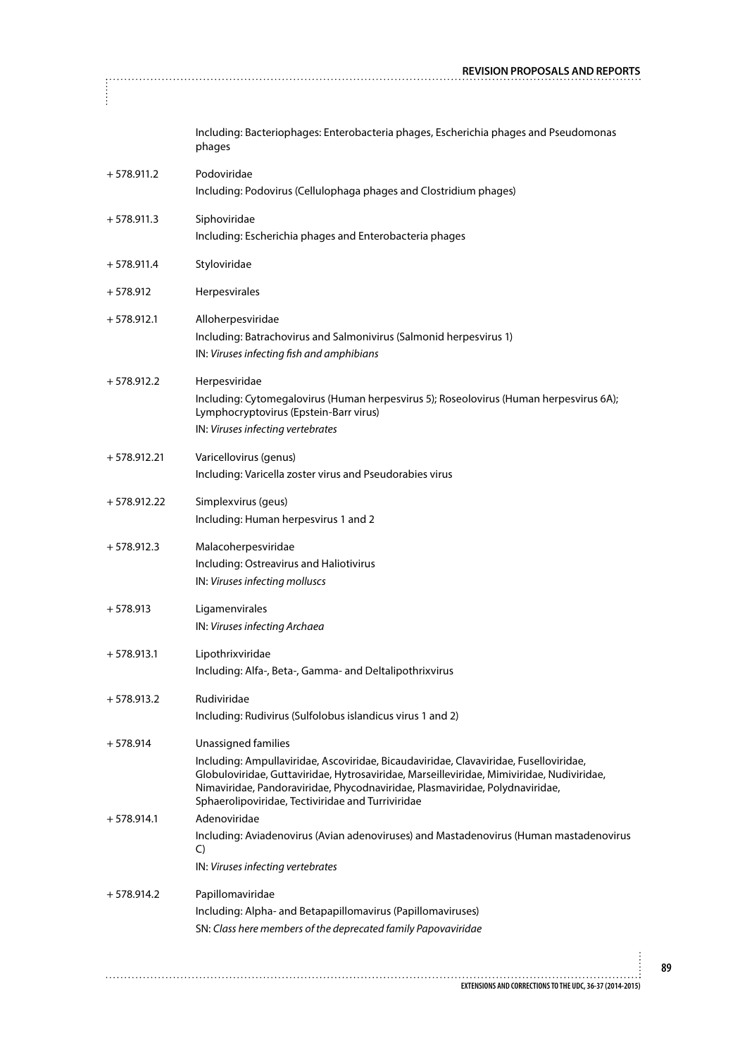|               | <b>REVISION PROPOSALS AND REPORTS</b>                                                                                                                                                                                                                                                                                                          |
|---------------|------------------------------------------------------------------------------------------------------------------------------------------------------------------------------------------------------------------------------------------------------------------------------------------------------------------------------------------------|
|               |                                                                                                                                                                                                                                                                                                                                                |
|               | Including: Bacteriophages: Enterobacteria phages, Escherichia phages and Pseudomonas<br>phages                                                                                                                                                                                                                                                 |
| $+578.911.2$  | Podoviridae<br>Including: Podovirus (Cellulophaga phages and Clostridium phages)                                                                                                                                                                                                                                                               |
| $+578.911.3$  | Siphoviridae<br>Including: Escherichia phages and Enterobacteria phages                                                                                                                                                                                                                                                                        |
| $+578.911.4$  | Styloviridae                                                                                                                                                                                                                                                                                                                                   |
| $+578.912$    | Herpesvirales                                                                                                                                                                                                                                                                                                                                  |
| $+578.912.1$  | Alloherpesviridae<br>Including: Batrachovirus and Salmonivirus (Salmonid herpesvirus 1)<br>IN: Viruses infecting fish and amphibians                                                                                                                                                                                                           |
| $+578.912.2$  | Herpesviridae<br>Including: Cytomegalovirus (Human herpesvirus 5); Roseolovirus (Human herpesvirus 6A);<br>Lymphocryptovirus (Epstein-Barr virus)<br>IN: Viruses infecting vertebrates                                                                                                                                                         |
| $+578.912.21$ | Varicellovirus (genus)<br>Including: Varicella zoster virus and Pseudorabies virus                                                                                                                                                                                                                                                             |
| $+578.912.22$ | Simplexvirus (geus)<br>Including: Human herpesvirus 1 and 2                                                                                                                                                                                                                                                                                    |
| $+578.912.3$  | Malacoherpesviridae<br>Including: Ostreavirus and Haliotivirus<br>IN: Viruses infecting molluscs                                                                                                                                                                                                                                               |
| $+578.913$    | Ligamenvirales<br>IN: Viruses infecting Archaea                                                                                                                                                                                                                                                                                                |
| $+578.913.1$  | Lipothrixviridae<br>Including: Alfa-, Beta-, Gamma- and Deltalipothrixvirus                                                                                                                                                                                                                                                                    |
| $+578.913.2$  | Rudiviridae<br>Including: Rudivirus (Sulfolobus islandicus virus 1 and 2)                                                                                                                                                                                                                                                                      |
| $+578.914$    | Unassigned families<br>Including: Ampullaviridae, Ascoviridae, Bicaudaviridae, Clavaviridae, Fuselloviridae,<br>Globuloviridae, Guttaviridae, Hytrosaviridae, Marseilleviridae, Mimiviridae, Nudiviridae,<br>Nimaviridae, Pandoraviridae, Phycodnaviridae, Plasmaviridae, Polydnaviridae,<br>Sphaerolipoviridae, Tectiviridae and Turriviridae |
| $+578.914.1$  | Adenoviridae<br>Including: Aviadenovirus (Avian adenoviruses) and Mastadenovirus (Human mastadenovirus<br>C)<br>IN: Viruses infecting vertebrates                                                                                                                                                                                              |
| $+578.914.2$  | Papillomaviridae<br>Including: Alpha- and Betapapillomavirus (Papillomaviruses)<br>SN: Class here members of the deprecated family Papovaviridae                                                                                                                                                                                               |
|               |                                                                                                                                                                                                                                                                                                                                                |
|               | EXTENSIONS AND CORRECTIONS TO THE UDC, 36-37 (2014-2015)                                                                                                                                                                                                                                                                                       |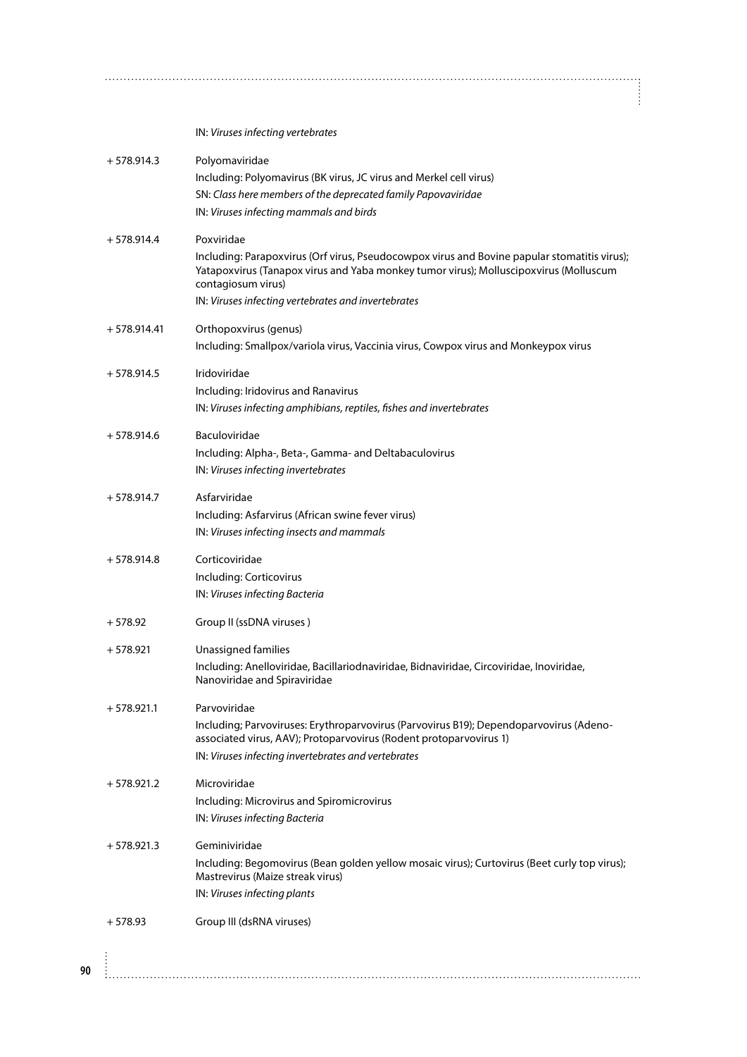IN: *Viruses infecting vertebrates*

| $+578.914.3$  | Polyomaviridae<br>Including: Polyomavirus (BK virus, JC virus and Merkel cell virus)<br>SN: Class here members of the deprecated family Papovaviridae<br>IN: Viruses infecting mammals and birds                                                                                 |
|---------------|----------------------------------------------------------------------------------------------------------------------------------------------------------------------------------------------------------------------------------------------------------------------------------|
| $+578.914.4$  | Poxviridae<br>Including: Parapoxvirus (Orf virus, Pseudocowpox virus and Bovine papular stomatitis virus);<br>Yatapoxvirus (Tanapox virus and Yaba monkey tumor virus); Molluscipoxvirus (Molluscum<br>contagiosum virus)<br>IN: Viruses infecting vertebrates and invertebrates |
| $+578.914.41$ | Orthopoxvirus (genus)<br>Including: Smallpox/variola virus, Vaccinia virus, Cowpox virus and Monkeypox virus                                                                                                                                                                     |
| $+578.914.5$  | Iridoviridae<br>Including: Iridovirus and Ranavirus<br>IN: Viruses infecting amphibians, reptiles, fishes and invertebrates                                                                                                                                                      |
| $+578.914.6$  | Baculoviridae<br>Including: Alpha-, Beta-, Gamma- and Deltabaculovirus<br>IN: Viruses infecting invertebrates                                                                                                                                                                    |
| $+578.914.7$  | Asfarviridae<br>Including: Asfarvirus (African swine fever virus)<br>IN: Viruses infecting insects and mammals                                                                                                                                                                   |
| $+578.914.8$  | Corticoviridae<br>Including: Corticovirus<br>IN: Viruses infecting Bacteria                                                                                                                                                                                                      |
| $+578.92$     | Group II (ssDNA viruses)                                                                                                                                                                                                                                                         |
| $+578.921$    | Unassigned families<br>Including: Anelloviridae, Bacillariodnaviridae, Bidnaviridae, Circoviridae, Inoviridae,<br>Nanoviridae and Spiraviridae                                                                                                                                   |
| $+578.921.1$  | Parvoviridae<br>Including; Parvoviruses: Erythroparvovirus (Parvovirus B19); Dependoparvovirus (Adeno-<br>associated virus, AAV); Protoparvovirus (Rodent protoparvovirus 1)<br>IN: Viruses infecting invertebrates and vertebrates                                              |
| $+578.921.2$  | Microviridae<br>Including: Microvirus and Spiromicrovirus<br>IN: Viruses infecting Bacteria                                                                                                                                                                                      |
| $+578.921.3$  | Geminiviridae<br>Including: Begomovirus (Bean golden yellow mosaic virus); Curtovirus (Beet curly top virus);<br>Mastrevirus (Maize streak virus)<br>IN: Viruses infecting plants                                                                                                |
| $+578.93$     | Group III (dsRNA viruses)                                                                                                                                                                                                                                                        |

İ

÷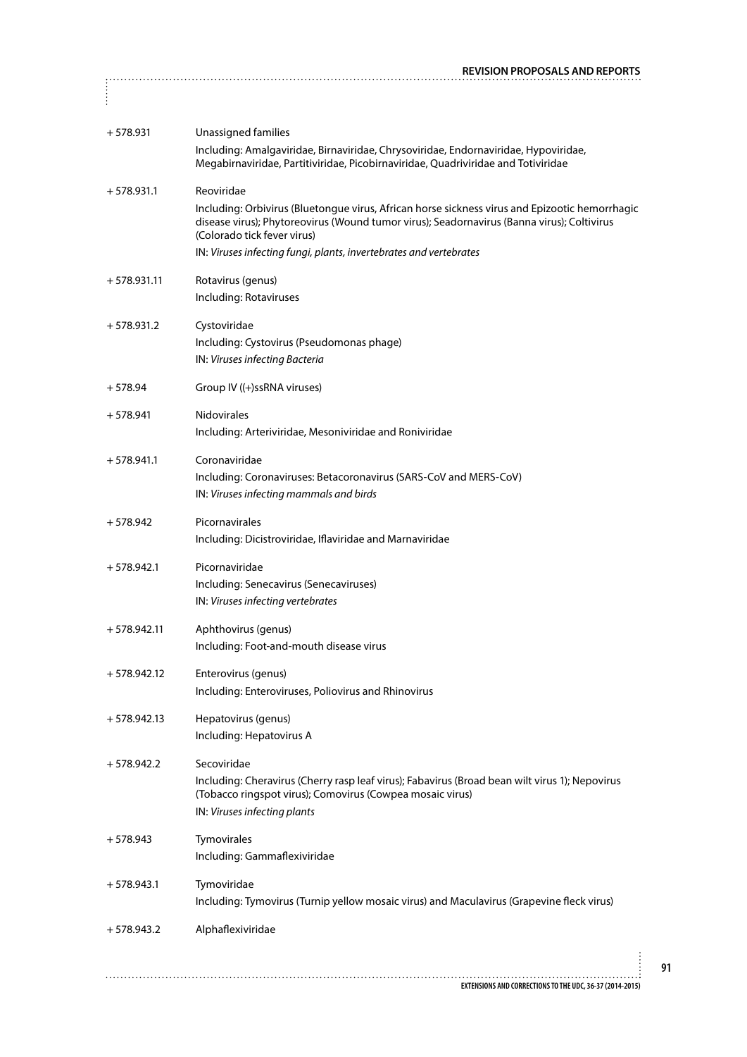|               | <b>REVISION PROPOSALS AND REPORTS</b>                                                                                                                                                                                                                                                                           |
|---------------|-----------------------------------------------------------------------------------------------------------------------------------------------------------------------------------------------------------------------------------------------------------------------------------------------------------------|
| ÷             |                                                                                                                                                                                                                                                                                                                 |
|               |                                                                                                                                                                                                                                                                                                                 |
| $+578.931$    | Unassigned families<br>Including: Amalgaviridae, Birnaviridae, Chrysoviridae, Endornaviridae, Hypoviridae,<br>Megabirnaviridae, Partitiviridae, Picobirnaviridae, Quadriviridae and Totiviridae                                                                                                                 |
| $+578.931.1$  | Reoviridae<br>Including: Orbivirus (Bluetongue virus, African horse sickness virus and Epizootic hemorrhagic<br>disease virus); Phytoreovirus (Wound tumor virus); Seadornavirus (Banna virus); Coltivirus<br>(Colorado tick fever virus)<br>IN: Viruses infecting fungi, plants, invertebrates and vertebrates |
|               |                                                                                                                                                                                                                                                                                                                 |
| $+578.931.11$ | Rotavirus (genus)<br>Including: Rotaviruses                                                                                                                                                                                                                                                                     |
| $+578.931.2$  | Cystoviridae<br>Including: Cystovirus (Pseudomonas phage)<br>IN: Viruses infecting Bacteria                                                                                                                                                                                                                     |
| $+578.94$     | Group IV ((+)ssRNA viruses)                                                                                                                                                                                                                                                                                     |
| $+578.941$    | <b>Nidovirales</b><br>Including: Arteriviridae, Mesoniviridae and Roniviridae                                                                                                                                                                                                                                   |
| $+578.941.1$  | Coronaviridae<br>Including: Coronaviruses: Betacoronavirus (SARS-CoV and MERS-CoV)<br>IN: Viruses infecting mammals and birds                                                                                                                                                                                   |
| $+578.942$    | Picornavirales<br>Including: Dicistroviridae, Iflaviridae and Marnaviridae                                                                                                                                                                                                                                      |
| $+578.942.1$  | Picornaviridae<br>Including: Senecavirus (Senecaviruses)<br>IN: Viruses infecting vertebrates                                                                                                                                                                                                                   |
| $+578.942.11$ | Aphthovirus (genus)<br>Including: Foot-and-mouth disease virus                                                                                                                                                                                                                                                  |
| $+578.942.12$ | Enterovirus (genus)<br>Including: Enteroviruses, Poliovirus and Rhinovirus                                                                                                                                                                                                                                      |
| $+578.942.13$ | Hepatovirus (genus)<br>Including: Hepatovirus A                                                                                                                                                                                                                                                                 |
| $+578.942.2$  | Secoviridae<br>Including: Cheravirus (Cherry rasp leaf virus); Fabavirus (Broad bean wilt virus 1); Nepovirus<br>(Tobacco ringspot virus); Comovirus (Cowpea mosaic virus)<br>IN: Viruses infecting plants                                                                                                      |
| $+578.943$    | Tymovirales<br>Including: Gammaflexiviridae                                                                                                                                                                                                                                                                     |
| $+578.943.1$  | Tymoviridae<br>Including: Tymovirus (Turnip yellow mosaic virus) and Maculavirus (Grapevine fleck virus)                                                                                                                                                                                                        |
| $+578.943.2$  | Alphaflexiviridae                                                                                                                                                                                                                                                                                               |
|               |                                                                                                                                                                                                                                                                                                                 |
|               | EXTENSIONS AND CORRECTIONS TO THE UDC, 36-37 (2014-2015)                                                                                                                                                                                                                                                        |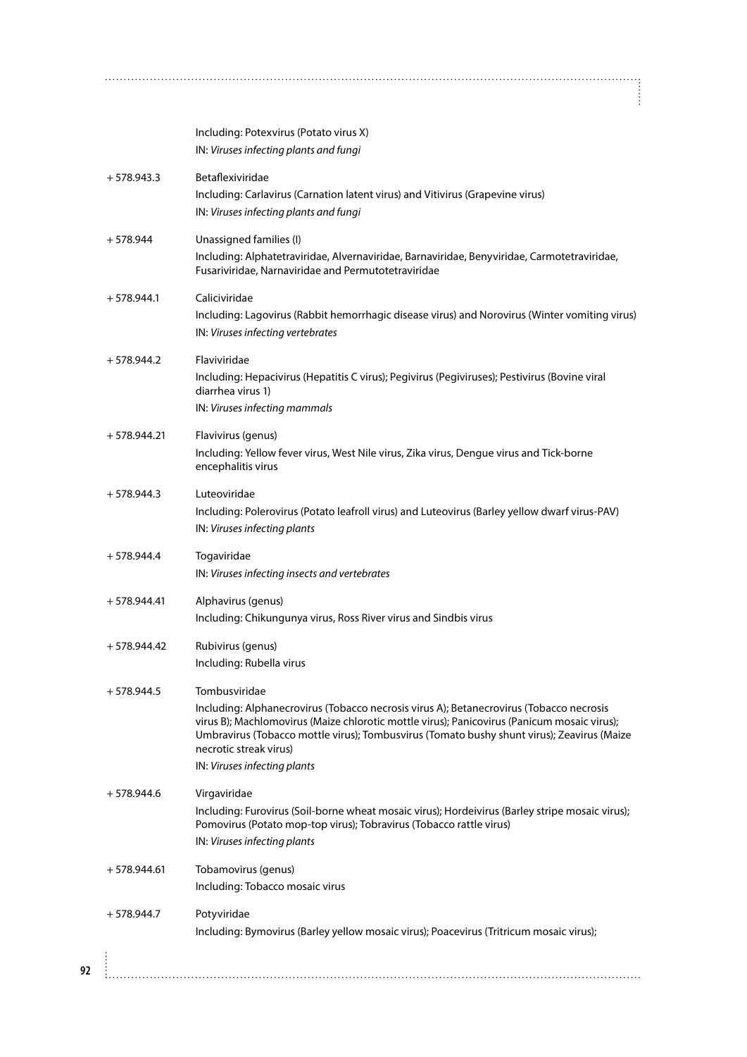|               | Including: Potexvirus (Potato virus X)                                                                                                                                                                                                                                                                         |
|---------------|----------------------------------------------------------------------------------------------------------------------------------------------------------------------------------------------------------------------------------------------------------------------------------------------------------------|
|               | IN: Viruses infecting plants and fungi                                                                                                                                                                                                                                                                         |
| $+578.943.3$  | Betaflexiviridae                                                                                                                                                                                                                                                                                               |
|               | Including: Carlavirus (Carnation latent virus) and Vitivirus (Grapevine virus)                                                                                                                                                                                                                                 |
|               | IN: Viruses infecting plants and fungi                                                                                                                                                                                                                                                                         |
| $+578.944$    | Unassigned families (I)                                                                                                                                                                                                                                                                                        |
|               | Including: Alphatetraviridae, Alvernaviridae, Barnaviridae, Benyviridae, Carmotetraviridae,<br>Fusariviridae, Narnaviridae and Permutotetraviridae                                                                                                                                                             |
| $+578.944.1$  | Caliciviridae                                                                                                                                                                                                                                                                                                  |
|               | Including: Lagovirus (Rabbit hemorrhagic disease virus) and Norovirus (Winter vomiting virus)                                                                                                                                                                                                                  |
|               | IN: Viruses infecting vertebrates                                                                                                                                                                                                                                                                              |
| $+578.944.2$  | Flaviviridae                                                                                                                                                                                                                                                                                                   |
|               | Including: Hepacivirus (Hepatitis C virus); Pegivirus (Pegiviruses); Pestivirus (Bovine viral<br>diarrhea virus 1)                                                                                                                                                                                             |
|               | IN: Viruses infecting mammals                                                                                                                                                                                                                                                                                  |
| $+578.944.21$ | Flavivirus (genus)                                                                                                                                                                                                                                                                                             |
|               | Including: Yellow fever virus, West Nile virus, Zika virus, Dengue virus and Tick-borne<br>encephalitis virus                                                                                                                                                                                                  |
| $+578.944.3$  | Luteoviridae                                                                                                                                                                                                                                                                                                   |
|               | Including: Polerovirus (Potato leafroll virus) and Luteovirus (Barley yellow dwarf virus-PAV)<br>IN: Viruses infecting plants                                                                                                                                                                                  |
| $+578.944.4$  | Togaviridae                                                                                                                                                                                                                                                                                                    |
|               | IN: Viruses infecting insects and vertebrates                                                                                                                                                                                                                                                                  |
| $+578.944.41$ | Alphavirus (genus)                                                                                                                                                                                                                                                                                             |
|               | Including: Chikungunya virus, Ross River virus and Sindbis virus                                                                                                                                                                                                                                               |
| $+578.944.42$ | Rubivirus (genus)                                                                                                                                                                                                                                                                                              |
|               | Including: Rubella virus                                                                                                                                                                                                                                                                                       |
| $+578.944.5$  | Tombusviridae                                                                                                                                                                                                                                                                                                  |
|               | Including: Alphanecrovirus (Tobacco necrosis virus A); Betanecrovirus (Tobacco necrosis<br>virus B); Machlomovirus (Maize chlorotic mottle virus); Panicovirus (Panicum mosaic virus);<br>Umbravirus (Tobacco mottle virus); Tombusvirus (Tomato bushy shunt virus); Zeavirus (Maize<br>necrotic streak virus) |
|               | IN: Viruses infecting plants                                                                                                                                                                                                                                                                                   |
| $+578.944.6$  | Virgaviridae                                                                                                                                                                                                                                                                                                   |
|               | Including: Furovirus (Soil-borne wheat mosaic virus); Hordeivirus (Barley stripe mosaic virus);<br>Pomovirus (Potato mop-top virus); Tobravirus (Tobacco rattle virus)                                                                                                                                         |
|               | IN: Viruses infecting plants                                                                                                                                                                                                                                                                                   |
| $+578.944.61$ | Tobamovirus (genus)                                                                                                                                                                                                                                                                                            |
|               | Including: Tobacco mosaic virus                                                                                                                                                                                                                                                                                |
| $+578.944.7$  | Potyviridae                                                                                                                                                                                                                                                                                                    |
|               |                                                                                                                                                                                                                                                                                                                |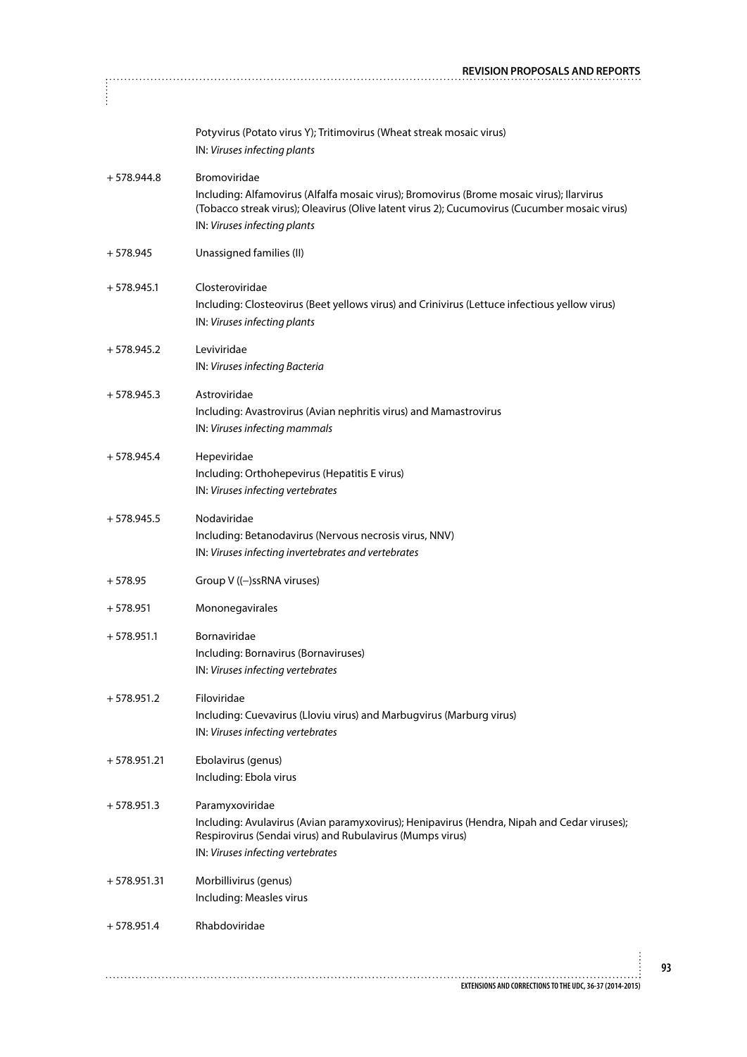|               | <b>REVISION PROPOSALS AND REPORTS</b>                                                                                                                                                                                                      |
|---------------|--------------------------------------------------------------------------------------------------------------------------------------------------------------------------------------------------------------------------------------------|
|               |                                                                                                                                                                                                                                            |
|               | Potyvirus (Potato virus Y); Tritimovirus (Wheat streak mosaic virus)<br>IN: Viruses infecting plants                                                                                                                                       |
| $+578.944.8$  | Bromoviridae<br>Including: Alfamovirus (Alfalfa mosaic virus); Bromovirus (Brome mosaic virus); Ilarvirus<br>(Tobacco streak virus); Oleavirus (Olive latent virus 2); Cucumovirus (Cucumber mosaic virus)<br>IN: Viruses infecting plants |
| $+578.945$    | Unassigned families (II)                                                                                                                                                                                                                   |
| $+578.945.1$  | Closteroviridae<br>Including: Closteovirus (Beet yellows virus) and Crinivirus (Lettuce infectious yellow virus)<br>IN: Viruses infecting plants                                                                                           |
| $+578.945.2$  | Leviviridae<br>IN: Viruses infecting Bacteria                                                                                                                                                                                              |
| $+578.945.3$  | Astroviridae<br>Including: Avastrovirus (Avian nephritis virus) and Mamastrovirus<br>IN: Viruses infecting mammals                                                                                                                         |
| $+578.945.4$  | Hepeviridae<br>Including: Orthohepevirus (Hepatitis E virus)<br>IN: Viruses infecting vertebrates                                                                                                                                          |
| $+578.945.5$  | Nodaviridae<br>Including: Betanodavirus (Nervous necrosis virus, NNV)<br>IN: Viruses infecting invertebrates and vertebrates                                                                                                               |
| $+578.95$     | Group V ((-)ssRNA viruses)                                                                                                                                                                                                                 |
| $+578.951$    | Mononegavirales                                                                                                                                                                                                                            |
| $+578.951.1$  | Bornaviridae<br>Including: Bornavirus (Bornaviruses)<br>IN: Viruses infecting vertebrates                                                                                                                                                  |
| $+578.951.2$  | Filoviridae<br>Including: Cuevavirus (Lloviu virus) and Marbugvirus (Marburg virus)<br>IN: Viruses infecting vertebrates                                                                                                                   |
| $+578.951.21$ | Ebolavirus (genus)<br>Including: Ebola virus                                                                                                                                                                                               |
| $+578.951.3$  | Paramyxoviridae<br>Including: Avulavirus (Avian paramyxovirus); Henipavirus (Hendra, Nipah and Cedar viruses);<br>Respirovirus (Sendai virus) and Rubulavirus (Mumps virus)<br>IN: Viruses infecting vertebrates                           |
| $+578.951.31$ | Morbillivirus (genus)<br>Including: Measles virus                                                                                                                                                                                          |
| $+578.951.4$  | Rhabdoviridae                                                                                                                                                                                                                              |
|               | EXTENSIONS AND CORRECTIONS TO THE UDC, 36-37 (2014-2015)                                                                                                                                                                                   |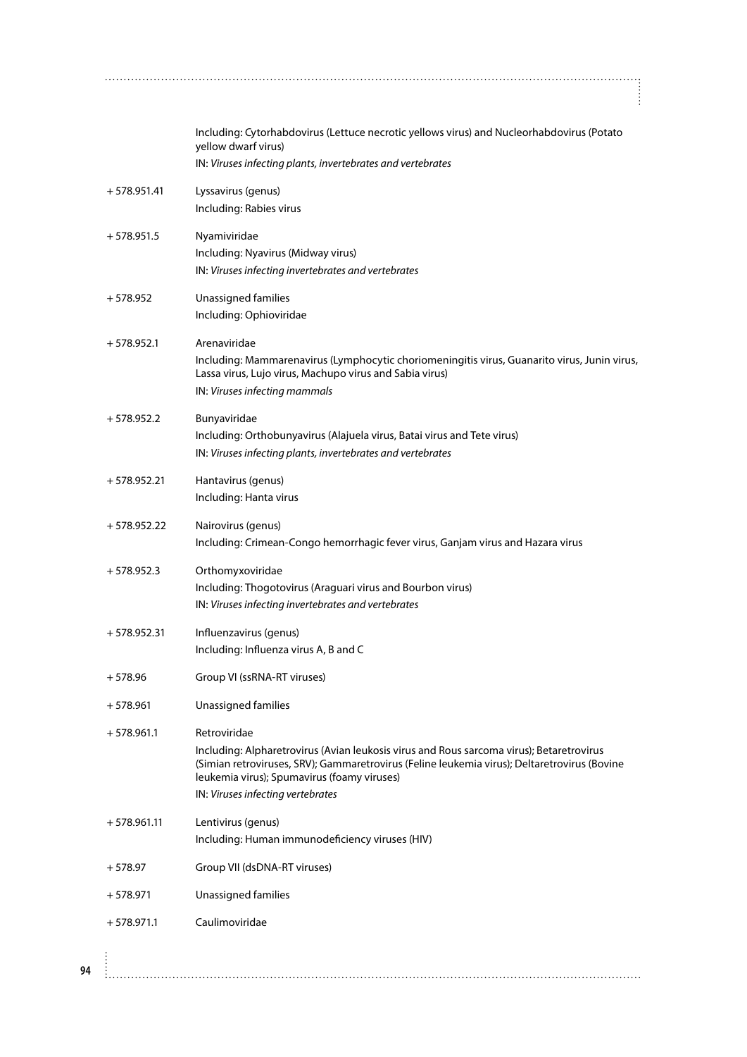|               | Including: Cytorhabdovirus (Lettuce necrotic yellows virus) and Nucleorhabdovirus (Potato<br>yellow dwarf virus)<br>IN: Viruses infecting plants, invertebrates and vertebrates                                                                                                              |
|---------------|----------------------------------------------------------------------------------------------------------------------------------------------------------------------------------------------------------------------------------------------------------------------------------------------|
| $+578.951.41$ | Lyssavirus (genus)<br>Including: Rabies virus                                                                                                                                                                                                                                                |
| $+578.951.5$  | Nyamiviridae<br>Including: Nyavirus (Midway virus)<br>IN: Viruses infecting invertebrates and vertebrates                                                                                                                                                                                    |
| $+578.952$    | Unassigned families<br>Including: Ophioviridae                                                                                                                                                                                                                                               |
| $+578.952.1$  | Arenaviridae<br>Including: Mammarenavirus (Lymphocytic choriomeningitis virus, Guanarito virus, Junin virus,<br>Lassa virus, Lujo virus, Machupo virus and Sabia virus)<br>IN: Viruses infecting mammals                                                                                     |
| $+578.952.2$  | Bunyaviridae<br>Including: Orthobunyavirus (Alajuela virus, Batai virus and Tete virus)<br>IN: Viruses infecting plants, invertebrates and vertebrates                                                                                                                                       |
| $+578.952.21$ | Hantavirus (genus)<br>Including: Hanta virus                                                                                                                                                                                                                                                 |
| $+578.952.22$ | Nairovirus (genus)<br>Including: Crimean-Congo hemorrhagic fever virus, Ganjam virus and Hazara virus                                                                                                                                                                                        |
| $+578.952.3$  | Orthomyxoviridae<br>Including: Thogotovirus (Araguari virus and Bourbon virus)<br>IN: Viruses infecting invertebrates and vertebrates                                                                                                                                                        |
| $+578.952.31$ | Influenzavirus (genus)<br>Including: Influenza virus A, B and C                                                                                                                                                                                                                              |
| $+578.96$     | Group VI (ssRNA-RT viruses)                                                                                                                                                                                                                                                                  |
| $+578.961$    | Unassigned families                                                                                                                                                                                                                                                                          |
| $+578.961.1$  | Retroviridae<br>Including: Alpharetrovirus (Avian leukosis virus and Rous sarcoma virus); Betaretrovirus<br>(Simian retroviruses, SRV); Gammaretrovirus (Feline leukemia virus); Deltaretrovirus (Bovine<br>leukemia virus); Spumavirus (foamy viruses)<br>IN: Viruses infecting vertebrates |
| $+578.961.11$ | Lentivirus (genus)<br>Including: Human immunodeficiency viruses (HIV)                                                                                                                                                                                                                        |
| $+578.97$     | Group VII (dsDNA-RT viruses)                                                                                                                                                                                                                                                                 |
| $+578.971$    | Unassigned families                                                                                                                                                                                                                                                                          |
| $+578.971.1$  | Caulimoviridae                                                                                                                                                                                                                                                                               |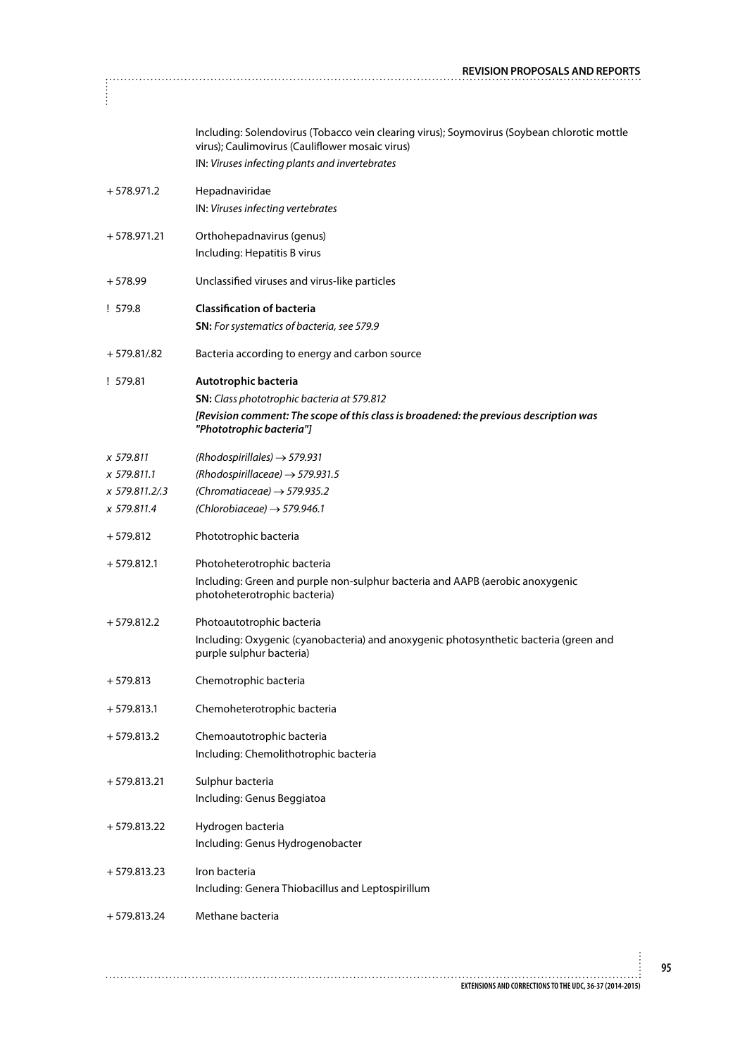|                | Including: Solendovirus (Tobacco vein clearing virus); Soymovirus (Soybean chlorotic mottle<br>virus); Caulimovirus (Cauliflower mosaic virus)<br>IN: Viruses infecting plants and invertebrates |
|----------------|--------------------------------------------------------------------------------------------------------------------------------------------------------------------------------------------------|
| $+578.971.2$   | Hepadnaviridae<br>IN: Viruses infecting vertebrates                                                                                                                                              |
| $+578.971.21$  | Orthohepadnavirus (genus)<br>Including: Hepatitis B virus                                                                                                                                        |
| $+578.99$      | Unclassified viruses and virus-like particles                                                                                                                                                    |
| ! 579.8        | <b>Classification of bacteria</b><br><b>SN:</b> For systematics of bacteria, see 579.9                                                                                                           |
| $+579.81/0.82$ | Bacteria according to energy and carbon source                                                                                                                                                   |
| !579.81        | Autotrophic bacteria<br><b>SN:</b> Class phototrophic bacteria at 579.812<br>[Revision comment: The scope of this class is broadened: the previous description was<br>"Phototrophic bacteria"]   |
| x 579.811      | (Rhodospirillales) $\rightarrow$ 579.931                                                                                                                                                         |
| x 579.811.1    | (Rhodospirillaceae) $\rightarrow$ 579.931.5                                                                                                                                                      |
| x 579.811.2/.3 | (Chromatiaceae) $\rightarrow$ 579.935.2                                                                                                                                                          |
| x 579.811.4    | (Chlorobiaceae) $\rightarrow$ 579.946.1                                                                                                                                                          |
| $+579.812$     | Phototrophic bacteria                                                                                                                                                                            |
| $+579.812.1$   | Photoheterotrophic bacteria<br>Including: Green and purple non-sulphur bacteria and AAPB (aerobic anoxygenic<br>photoheterotrophic bacteria)                                                     |
| $+579.812.2$   | Photoautotrophic bacteria<br>Including: Oxygenic (cyanobacteria) and anoxygenic photosynthetic bacteria (green and<br>purple sulphur bacteria)                                                   |
| $+579.813$     | Chemotrophic bacteria                                                                                                                                                                            |
| $+579.813.1$   | Chemoheterotrophic bacteria                                                                                                                                                                      |
| $+579.813.2$   | Chemoautotrophic bacteria<br>Including: Chemolithotrophic bacteria                                                                                                                               |
| $+579.813.21$  | Sulphur bacteria<br>Including: Genus Beggiatoa                                                                                                                                                   |
| $+579.813.22$  | Hydrogen bacteria<br>Including: Genus Hydrogenobacter                                                                                                                                            |
| $+579.813.23$  | Iron bacteria<br>Including: Genera Thiobacillus and Leptospirillum                                                                                                                               |
| $+579.813.24$  | Methane bacteria                                                                                                                                                                                 |
|                |                                                                                                                                                                                                  |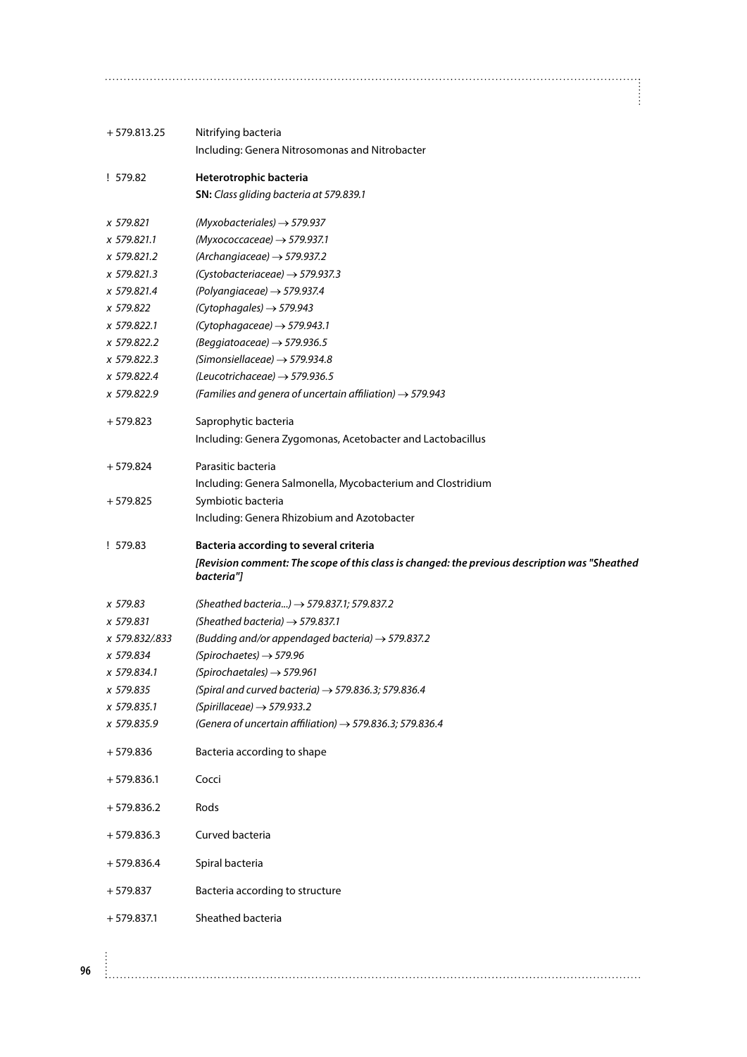| $+579.813.25$                                                                                                                                                 | Nitrifying bacteria<br>Including: Genera Nitrosomonas and Nitrobacter                                                                                                                                                                                                                                                                                                                                                                                                                                                   |
|---------------------------------------------------------------------------------------------------------------------------------------------------------------|-------------------------------------------------------------------------------------------------------------------------------------------------------------------------------------------------------------------------------------------------------------------------------------------------------------------------------------------------------------------------------------------------------------------------------------------------------------------------------------------------------------------------|
| ! 579.82                                                                                                                                                      | Heterotrophic bacteria<br>SN: Class gliding bacteria at 579.839.1                                                                                                                                                                                                                                                                                                                                                                                                                                                       |
| x 579.821<br>x 579.821.1<br>x 579.821.2<br>x 579.821.3<br>x 579.821.4<br>x 579.822<br>x 579.822.1<br>x 579.822.2<br>x 579.822.3<br>x 579.822.4<br>x 579.822.9 | $(Myxobacteriales) \rightarrow 579.937$<br>$(Myxococcaceae) \rightarrow$ 579.937.1<br>(Archangiaceae) $\rightarrow$ 579.937.2<br>$(Cystobacteriaceae) \rightarrow$ 579.937.3<br>(Polyangiaceae) $\rightarrow$ 579.937.4<br>(Cytophagales) $\rightarrow$ 579.943<br>(Cytophagaceae) $\rightarrow$ 579.943.1<br>(Beggiatoaceae) $\rightarrow$ 579.936.5<br>(Simonsiellaceae) $\rightarrow$ 579.934.8<br>(Leucotrichaceae) $\rightarrow$ 579.936.5<br>(Families and genera of uncertain affiliation) $\rightarrow$ 579.943 |
| $+579.823$                                                                                                                                                    | Saprophytic bacteria<br>Including: Genera Zygomonas, Acetobacter and Lactobacillus                                                                                                                                                                                                                                                                                                                                                                                                                                      |
| $+579.824$                                                                                                                                                    | Parasitic bacteria<br>Including: Genera Salmonella, Mycobacterium and Clostridium                                                                                                                                                                                                                                                                                                                                                                                                                                       |
| $+579.825$                                                                                                                                                    | Symbiotic bacteria<br>Including: Genera Rhizobium and Azotobacter                                                                                                                                                                                                                                                                                                                                                                                                                                                       |
|                                                                                                                                                               |                                                                                                                                                                                                                                                                                                                                                                                                                                                                                                                         |
| ! 579.83                                                                                                                                                      | Bacteria according to several criteria<br>[Revision comment: The scope of this class is changed: the previous description was "Sheathed<br>bacteria"]                                                                                                                                                                                                                                                                                                                                                                   |
| x 579.83<br>x 579.831<br>x 579.832/.833<br>x 579.834<br>x 579.834.1<br>x 579.835<br>x 579.835.1<br>x 579.835.9                                                | (Sheathed bacteria) $\rightarrow$ 579.837.1; 579.837.2<br>(Sheathed bacteria) $\rightarrow$ 579.837.1<br>(Budding and/or appendaged bacteria) $\rightarrow$ 579.837.2<br>(Spirochaetes) $\rightarrow$ 579.96<br>(Spirochaetales) $\rightarrow$ 579.961<br>(Spiral and curved bacteria) $\rightarrow$ 579.836.3; 579.836.4<br>(Spirillaceae) $\rightarrow$ 579.933.2<br>(Genera of uncertain affiliation) $\rightarrow$ 579.836.3; 579.836.4                                                                             |
| $+579.836$                                                                                                                                                    | Bacteria according to shape                                                                                                                                                                                                                                                                                                                                                                                                                                                                                             |
| $+579.836.1$                                                                                                                                                  | Cocci                                                                                                                                                                                                                                                                                                                                                                                                                                                                                                                   |
| $+579.836.2$                                                                                                                                                  | Rods                                                                                                                                                                                                                                                                                                                                                                                                                                                                                                                    |
| $+579.836.3$                                                                                                                                                  | Curved bacteria                                                                                                                                                                                                                                                                                                                                                                                                                                                                                                         |
| $+579.836.4$                                                                                                                                                  | Spiral bacteria                                                                                                                                                                                                                                                                                                                                                                                                                                                                                                         |
| $+579.837$                                                                                                                                                    | Bacteria according to structure                                                                                                                                                                                                                                                                                                                                                                                                                                                                                         |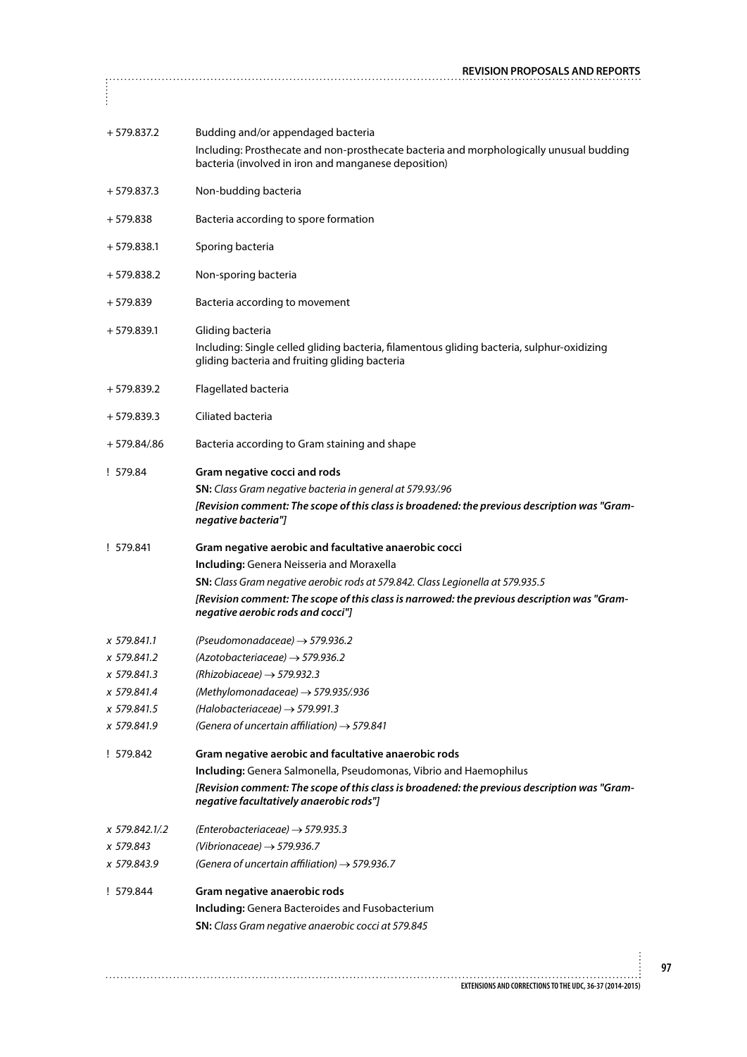|               | <b>REVISION PROPOSALS AND REPORTS</b>                                                                                                           |
|---------------|-------------------------------------------------------------------------------------------------------------------------------------------------|
| $\frac{1}{2}$ |                                                                                                                                                 |
| $+579.837.2$  | Budding and/or appendaged bacteria                                                                                                              |
|               | Including: Prosthecate and non-prosthecate bacteria and morphologically unusual budding<br>bacteria (involved in iron and manganese deposition) |
| $+579.837.3$  | Non-budding bacteria                                                                                                                            |
| $+579.838$    | Bacteria according to spore formation                                                                                                           |
| $+579.838.1$  | Sporing bacteria                                                                                                                                |
| + 579.838.2   | Non-sporing bacteria                                                                                                                            |
| + 579.839     | Bacteria according to movement                                                                                                                  |
| $+579.839.1$  | Gliding bacteria                                                                                                                                |
|               | Including: Single celled gliding bacteria, filamentous gliding bacteria, sulphur-oxidizing<br>gliding bacteria and fruiting gliding bacteria    |
| $+579.839.2$  | Flagellated bacteria                                                                                                                            |
| $+579.839.3$  | Ciliated bacteria                                                                                                                               |
| + 579.84/.86  | Bacteria according to Gram staining and shape                                                                                                   |
| ! 579.84      | Gram negative cocci and rods                                                                                                                    |
|               | <b>SN:</b> Class Gram negative bacteria in general at 579.93/.96                                                                                |
|               | [Revision comment: The scope of this class is broadened: the previous description was "Gram-<br>negative bacteria"]                             |
| ! 579.841     | Gram negative aerobic and facultative anaerobic cocci                                                                                           |
|               | Including: Genera Neisseria and Moraxella                                                                                                       |
|               | <b>SN:</b> Class Gram negative aerobic rods at 579.842. Class Legionella at 579.935.5                                                           |
|               | [Revision comment: The scope of this class is narrowed: the previous description was "Gram-<br>negative aerobic rods and cocci"]                |
| x 579.841.1   | (Pseudomonadaceae) $\rightarrow$ 579.936.2                                                                                                      |
| x 579.841.2   | $(Azotobacteriaceae) \rightarrow$ 579.936.2                                                                                                     |
| x 579.841.3   | (Rhizobiaceae) $\rightarrow$ 579.932.3                                                                                                          |
| x 579.841.4   | (Methylomonadaceae) $\rightarrow$ 579.935/.936                                                                                                  |
| x 579.841.5   | (Halobacteriaceae) $\rightarrow$ 579.991.3                                                                                                      |
| x 579.841.9   | (Genera of uncertain affiliation) $\rightarrow$ 579.841                                                                                         |
| ! 579.842     | Gram negative aerobic and facultative anaerobic rods                                                                                            |
|               | Including: Genera Salmonella, Pseudomonas, Vibrio and Haemophilus                                                                               |
|               | [Revision comment: The scope of this class is broadened: the previous description was "Gram-<br>negative facultatively anaerobic rods"]         |
| x 579.842.1/2 | $(Enterobacteriaceae) \rightarrow$ 579.935.3                                                                                                    |
| x 579.843     | (Vibrionaceae) $\rightarrow$ 579.936.7                                                                                                          |
| x 579.843.9   | (Genera of uncertain affiliation) $\rightarrow$ 579.936.7                                                                                       |
| ! 579.844     | Gram negative anaerobic rods                                                                                                                    |
|               | <b>Including:</b> Genera Bacteroides and Fusobacterium                                                                                          |
|               | SN: Class Gram negative anaerobic cocci at 579.845                                                                                              |
|               |                                                                                                                                                 |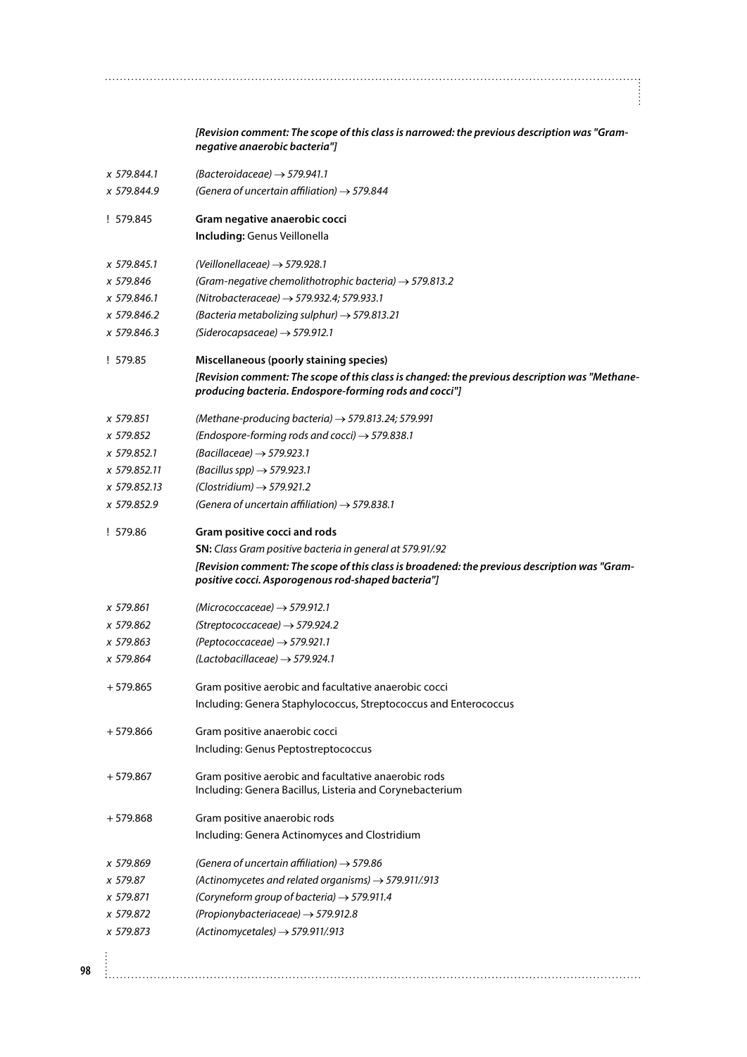*[Revision comment: The scope of this class is narrowed: the previous description was "Gramnegative anaerobic bacteria"] x 579.844.1 (Bacteroidaceae)* → *579.941.1 x 579.844.9 (Genera of uncertain affiliation)* → *579.844* ! 579.845 **Gram negative anaerobic cocci Including:** Genus Veillonella *x 579.845.1 (Veillonellaceae)* → *579.928.1 x 579.846 (Gram-negative chemolithotrophic bacteria)* → *579.813.2 x 579.846.1 (Nitrobacteraceae)* → *579.932.4; 579.933.1 x 579.846.2 (Bacteria metabolizing sulphur)* → *579.813.21 x 579.846.3 (Siderocapsaceae)* → *579.912.1* ! 579.85 **Miscellaneous (poorly staining species)** *[Revision comment: The scope of this class is changed: the previous description was "Methaneproducing bacteria. Endospore-forming rods and cocci"] x 579.851 (Methane-producing bacteria)* → *579.813.24; 579.991 x 579.852 (Endospore-forming rods and cocci)* → *579.838.1 x 579.852.1 (Bacillaceae)* → *579.923.1 x 579.852.11 (Bacillus spp)* → *579.923.1 x 579.852.13 (Clostridium)* → *579.921.2 x 579.852.9 (Genera of uncertain affiliation)* → *579.838.1*

! 579.86 **Gram positive cocci and rods SN:** *Class Gram positive bacteria in general at 579.91/.92 [Revision comment: The scope of this class is broadened: the previous description was "Grampositive cocci. Asporogenous rod-shaped bacteria"]*

*x 579.862 (Streptococcaceae)* → *579.924.2*

*x 579.863 (Peptococcaceae)* → *579.921.1*

*x 579.864 (Lactobacillaceae)* → *579.924.1*

+ 579.865 Gram positive aerobic and facultative anaerobic cocci Including: Genera Staphylococcus, Streptococcus and Enterococcus

- + 579.866 Gram positive anaerobic cocci Including: Genus Peptostreptococcus
- + 579.867 Gram positive aerobic and facultative anaerobic rods Including: Genera Bacillus, Listeria and Corynebacterium
- + 579.868 Gram positive anaerobic rods Including: Genera Actinomyces and Clostridium
- *x 579.869 (Genera of uncertain affiliation)* → *579.86*
- *x 579.87 (Actinomycetes and related organisms)* → *579.911/.913*
- *x 579.871 (Coryneform group of bacteria)* → *579.911.4*
- *x 579.872 (Propionybacteriaceae)* → *579.912.8*
- *x 579.873 (Actinomycetales)* → *579.911/.913*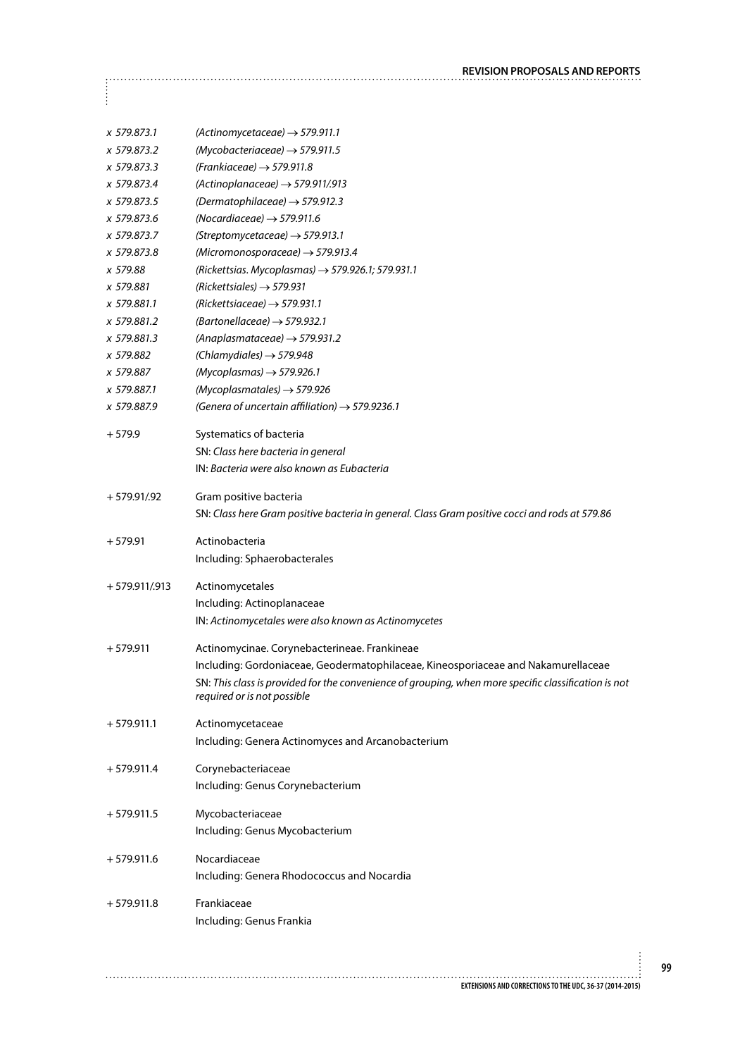**REVISION PROPOSALS AND REPORTS**  $\vdots$ *x 579.873.1 (Actinomycetaceae)* → *579.911.1 x 579.873.2 (Mycobacteriaceae)* → *579.911.5 x 579.873.3 (Frankiaceae)* → *579.911.8 x 579.873.4 (Actinoplanaceae)* → *579.911/.913 x 579.873.5 (Dermatophilaceae)* → *579.912.3 x 579.873.6 (Nocardiaceae)* → *579.911.6 x 579.873.7 (Streptomycetaceae)* → *579.913.1 x 579.873.8 (Micromonosporaceae)* → *579.913.4 x 579.88 (Rickettsias. Mycoplasmas)* → *579.926.1; 579.931.1 x 579.881 (Rickettsiales)* → *579.931 x 579.881.1 (Rickettsiaceae)* → *579.931.1 x 579.881.2 (Bartonellaceae)* → *579.932.1 x 579.881.3 (Anaplasmataceae)* → *579.931.2 x 579.882 (Chlamydiales)* → *579.948 x 579.887 (Mycoplasmas)* → *579.926.1 x 579.887.1 (Mycoplasmatales)* → *579.926 x 579.887.9 (Genera of uncertain affiliation)* → *579.9236.1* + 579.9 Systematics of bacteria SN: *Class here bacteria in general* IN: *Bacteria were also known as Eubacteria* + 579.91/.92 Gram positive bacteria SN: *Class here Gram positive bacteria in general. Class Gram positive cocci and rods at 579.86* + 579.91 Actinobacteria Including: Sphaerobacterales + 579.911/.913 Actinomycetales Including: Actinoplanaceae IN: *Actinomycetales were also known as Actinomycetes* + 579.911 Actinomycinae. Corynebacterineae. Frankineae Including: Gordoniaceae, Geodermatophilaceae, Kineosporiaceae and Nakamurellaceae SN: *This class is provided for the convenience of grouping, when more specific classification is not required or is not possible* + 579.911.1 Actinomycetaceae Including: Genera Actinomyces and Arcanobacterium + 579.911.4 Corynebacteriaceae Including: Genus Corynebacterium

+ 579.911.5 Mycobacteriaceae Including: Genus Mycobacterium

+ 579.911.6 Nocardiaceae Including: Genera Rhodococcus and Nocardia

+ 579.911.8 Frankiaceae Including: Genus Frankia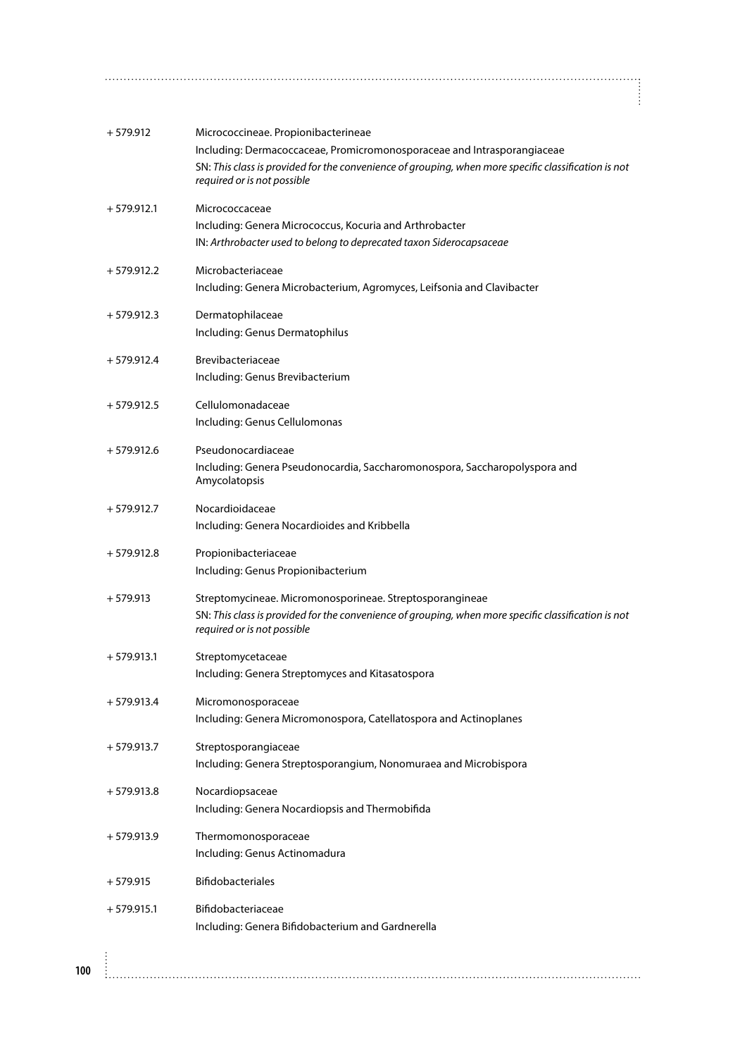| $+579.912$   | Micrococcineae. Propionibacterineae<br>Including: Dermacoccaceae, Promicromonosporaceae and Intrasporangiaceae<br>SN: This class is provided for the convenience of grouping, when more specific classification is not<br>required or is not possible |
|--------------|-------------------------------------------------------------------------------------------------------------------------------------------------------------------------------------------------------------------------------------------------------|
| $+579.912.1$ | Micrococcaceae<br>Including: Genera Micrococcus, Kocuria and Arthrobacter<br>IN: Arthrobacter used to belong to deprecated taxon Siderocapsaceae                                                                                                      |
| $+579.912.2$ | Microbacteriaceae<br>Including: Genera Microbacterium, Agromyces, Leifsonia and Clavibacter                                                                                                                                                           |
| $+579.912.3$ | Dermatophilaceae<br>Including: Genus Dermatophilus                                                                                                                                                                                                    |
| $+579.912.4$ | <b>Brevibacteriaceae</b><br>Including: Genus Brevibacterium                                                                                                                                                                                           |
| $+579.912.5$ | Cellulomonadaceae<br>Including: Genus Cellulomonas                                                                                                                                                                                                    |
| $+579.912.6$ | Pseudonocardiaceae<br>Including: Genera Pseudonocardia, Saccharomonospora, Saccharopolyspora and<br>Amycolatopsis                                                                                                                                     |
| $+579.912.7$ | Nocardioidaceae<br>Including: Genera Nocardioides and Kribbella                                                                                                                                                                                       |
| $+579.912.8$ | Propionibacteriaceae<br>Including: Genus Propionibacterium                                                                                                                                                                                            |
| $+579.913$   | Streptomycineae. Micromonosporineae. Streptosporangineae<br>SN: This class is provided for the convenience of grouping, when more specific classification is not<br>required or is not possible                                                       |
| $+579.913.1$ | Streptomycetaceae<br>Including: Genera Streptomyces and Kitasatospora                                                                                                                                                                                 |
| $+579.913.4$ | Micromonosporaceae<br>Including: Genera Micromonospora, Catellatospora and Actinoplanes                                                                                                                                                               |
| $+579.913.7$ | Streptosporangiaceae<br>Including: Genera Streptosporangium, Nonomuraea and Microbispora                                                                                                                                                              |
| $+579.913.8$ | Nocardiopsaceae<br>Including: Genera Nocardiopsis and Thermobifida                                                                                                                                                                                    |
| $+579.913.9$ | Thermomonosporaceae<br>Including: Genus Actinomadura                                                                                                                                                                                                  |
| $+579.915$   | Bifidobacteriales                                                                                                                                                                                                                                     |
| $+579.915.1$ | Bifidobacteriaceae<br>Including: Genera Bifidobacterium and Gardnerella                                                                                                                                                                               |
|              |                                                                                                                                                                                                                                                       |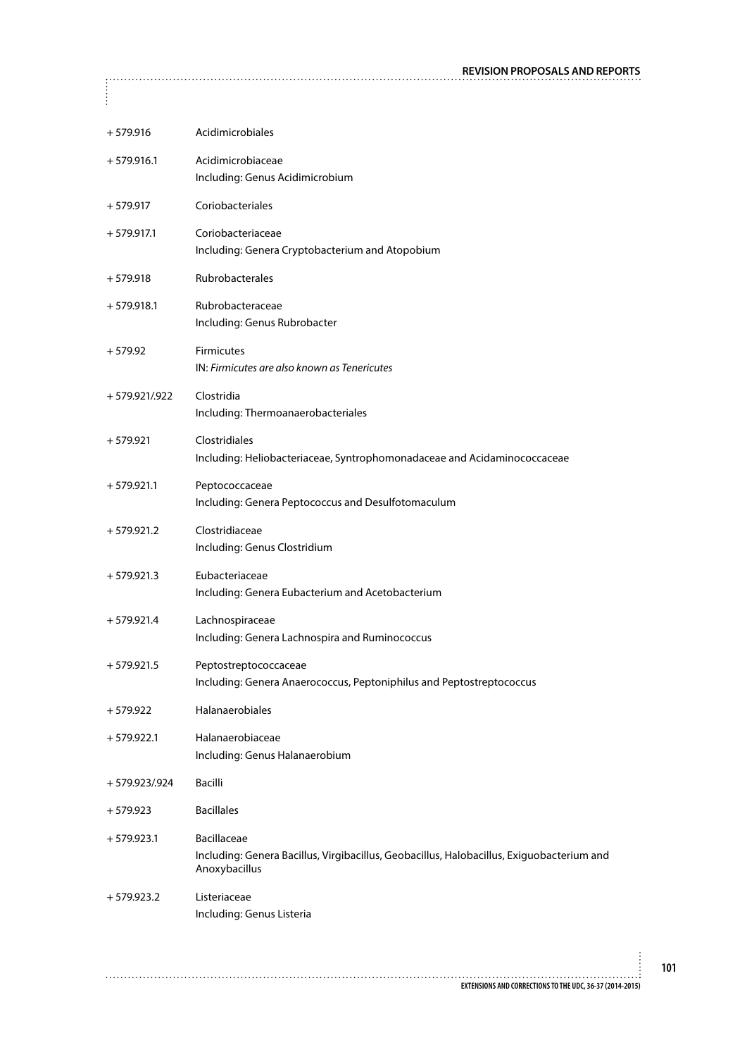| $+579.916$       | Acidimicrobiales                                                                                                                 |
|------------------|----------------------------------------------------------------------------------------------------------------------------------|
| $+579.916.1$     | Acidimicrobiaceae<br>Including: Genus Acidimicrobium                                                                             |
| $+579.917$       | Coriobacteriales                                                                                                                 |
| $+579.917.1$     | Coriobacteriaceae<br>Including: Genera Cryptobacterium and Atopobium                                                             |
| $+579.918$       | Rubrobacterales                                                                                                                  |
| $+579.918.1$     | Rubrobacteraceae<br>Including: Genus Rubrobacter                                                                                 |
| $+579.92$        | <b>Firmicutes</b><br>IN: Firmicutes are also known as Tenericutes                                                                |
| $+579.921/0.922$ | Clostridia<br>Including: Thermoanaerobacteriales                                                                                 |
| $+579.921$       | Clostridiales<br>Including: Heliobacteriaceae, Syntrophomonadaceae and Acidaminococcaceae                                        |
| $+579.921.1$     | Peptococcaceae<br>Including: Genera Peptococcus and Desulfotomaculum                                                             |
| $+579.921.2$     | Clostridiaceae<br>Including: Genus Clostridium                                                                                   |
| $+579.921.3$     | Eubacteriaceae<br>Including: Genera Eubacterium and Acetobacterium                                                               |
| $+579.921.4$     | Lachnospiraceae<br>Including: Genera Lachnospira and Ruminococcus                                                                |
| $+579.921.5$     | Peptostreptococcaceae<br>Including: Genera Anaerococcus, Peptoniphilus and Peptostreptococcus                                    |
| $+579.922$       | Halanaerobiales                                                                                                                  |
| $+579.922.1$     | Halanaerobiaceae<br>Including: Genus Halanaerobium                                                                               |
| +579.923/.924    | Bacilli                                                                                                                          |
| $+579.923$       | <b>Bacillales</b>                                                                                                                |
| $+579.923.1$     | <b>Bacillaceae</b><br>Including: Genera Bacillus, Virgibacillus, Geobacillus, Halobacillus, Exiguobacterium and<br>Anoxybacillus |
| $+579.923.2$     | Listeriaceae<br>Including: Genus Listeria                                                                                        |
|                  |                                                                                                                                  |

 $\begin{bmatrix} 0 & 0 \\ 0 & 0 \\ 0 & 0 \end{bmatrix}$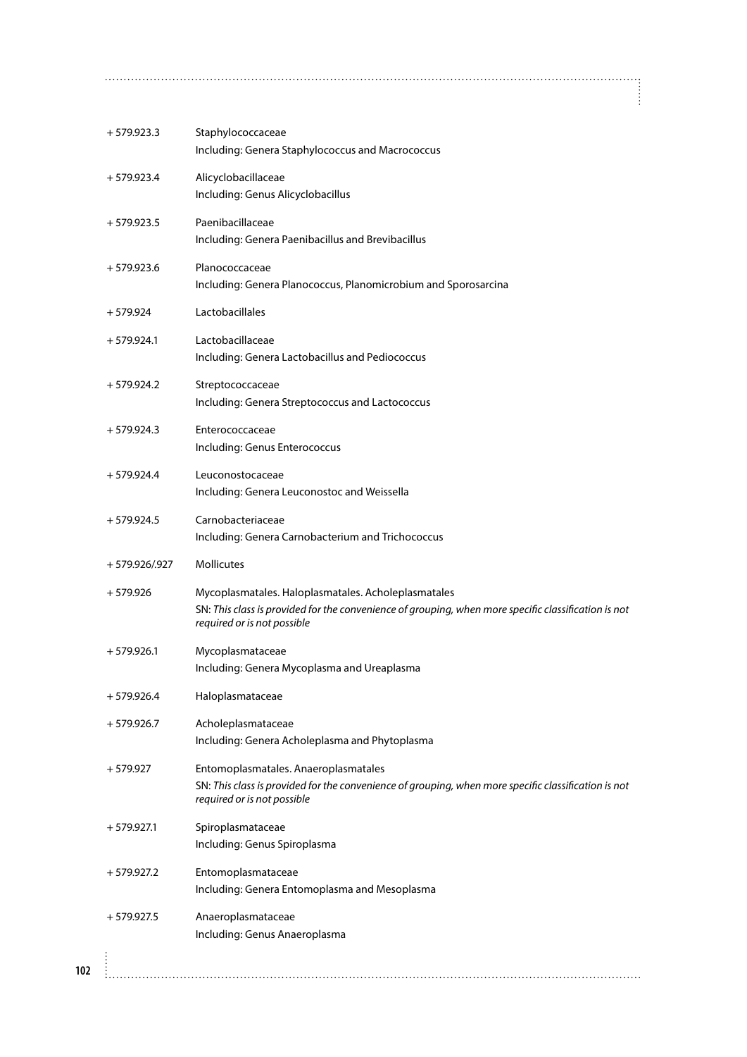| $+579.923.3$   | Staphylococcaceae<br>Including: Genera Staphylococcus and Macrococcus                                                                                                                      |
|----------------|--------------------------------------------------------------------------------------------------------------------------------------------------------------------------------------------|
| $+579.923.4$   | Alicyclobacillaceae<br>Including: Genus Alicyclobacillus                                                                                                                                   |
| $+579.923.5$   | Paenibacillaceae<br>Including: Genera Paenibacillus and Brevibacillus                                                                                                                      |
| $+579.923.6$   | Planococcaceae<br>Including: Genera Planococcus, Planomicrobium and Sporosarcina                                                                                                           |
| $+579.924$     | Lactobacillales                                                                                                                                                                            |
| $+579.924.1$   | Lactobacillaceae<br>Including: Genera Lactobacillus and Pediococcus                                                                                                                        |
| $+579.924.2$   | Streptococcaceae<br>Including: Genera Streptococcus and Lactococcus                                                                                                                        |
| $+579.924.3$   | Enterococcaceae<br>Including: Genus Enterococcus                                                                                                                                           |
| $+579.924.4$   | Leuconostocaceae                                                                                                                                                                           |
|                | Including: Genera Leuconostoc and Weissella                                                                                                                                                |
| $+579.924.5$   | Carnobacteriaceae<br>Including: Genera Carnobacterium and Trichococcus                                                                                                                     |
|                |                                                                                                                                                                                            |
| + 579.926/.927 | <b>Mollicutes</b>                                                                                                                                                                          |
| $+579.926$     | Mycoplasmatales. Haloplasmatales. Acholeplasmatales<br>SN: This class is provided for the convenience of grouping, when more specific classification is not<br>required or is not possible |
| $+579.926.1$   | Mycoplasmataceae<br>Including: Genera Mycoplasma and Ureaplasma                                                                                                                            |
| $+579.926.4$   | Haloplasmataceae                                                                                                                                                                           |
| $+579.926.7$   | Acholeplasmataceae<br>Including: Genera Acholeplasma and Phytoplasma                                                                                                                       |
| $+579.927$     | Entomoplasmatales. Anaeroplasmatales<br>SN: This class is provided for the convenience of grouping, when more specific classification is not<br>required or is not possible                |
| $+579.927.1$   | Spiroplasmataceae<br>Including: Genus Spiroplasma                                                                                                                                          |
| $+579.927.2$   | Entomoplasmataceae                                                                                                                                                                         |
|                | Including: Genera Entomoplasma and Mesoplasma                                                                                                                                              |
| $+579.927.5$   | Anaeroplasmataceae<br>Including: Genus Anaeroplasma                                                                                                                                        |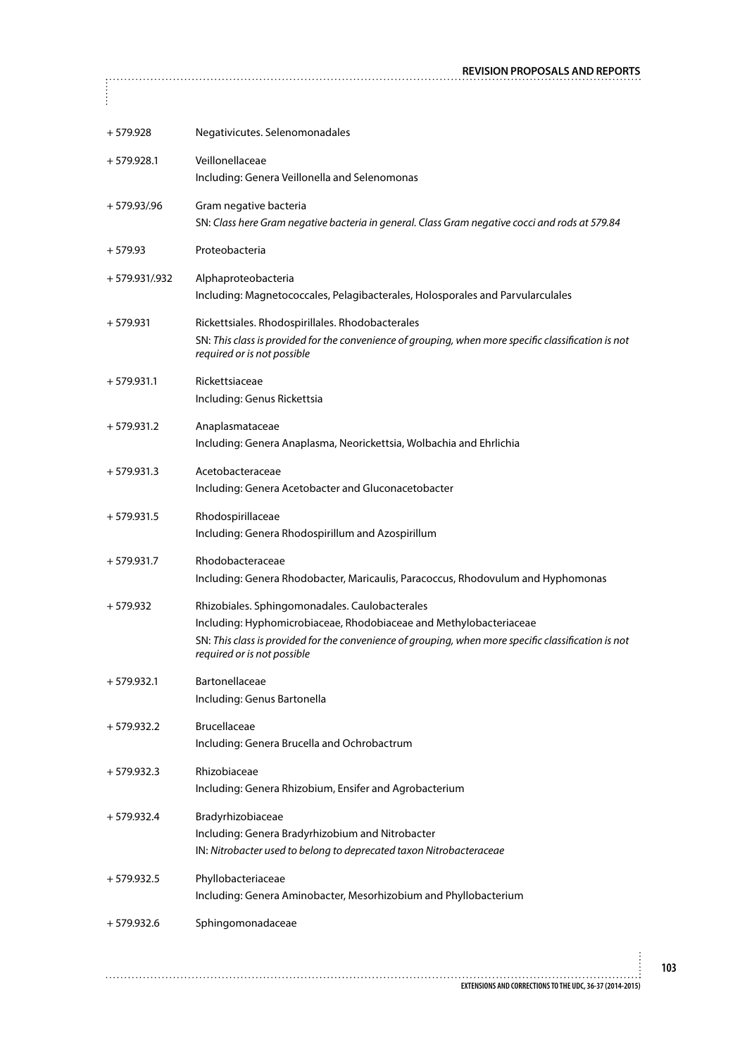| $+579.928$       | Negativicutes. Selenomonadales                                                                                                                                                                                                                              |
|------------------|-------------------------------------------------------------------------------------------------------------------------------------------------------------------------------------------------------------------------------------------------------------|
| $+579.928.1$     | Veillonellaceae<br>Including: Genera Veillonella and Selenomonas                                                                                                                                                                                            |
| $+579.93/0.96$   | Gram negative bacteria<br>SN: Class here Gram negative bacteria in general. Class Gram negative cocci and rods at 579.84                                                                                                                                    |
| $+579.93$        | Proteobacteria                                                                                                                                                                                                                                              |
| $+579.931/0.932$ | Alphaproteobacteria<br>Including: Magnetococcales, Pelagibacterales, Holosporales and Parvularculales                                                                                                                                                       |
| $+579.931$       | Rickettsiales. Rhodospirillales. Rhodobacterales<br>SN: This class is provided for the convenience of grouping, when more specific classification is not<br>required or is not possible                                                                     |
| $+579.931.1$     | Rickettsiaceae<br>Including: Genus Rickettsia                                                                                                                                                                                                               |
| $+579.931.2$     | Anaplasmataceae<br>Including: Genera Anaplasma, Neorickettsia, Wolbachia and Ehrlichia                                                                                                                                                                      |
| $+579.931.3$     | Acetobacteraceae<br>Including: Genera Acetobacter and Gluconacetobacter                                                                                                                                                                                     |
| $+579.931.5$     | Rhodospirillaceae<br>Including: Genera Rhodospirillum and Azospirillum                                                                                                                                                                                      |
| $+579.931.7$     | Rhodobacteraceae<br>Including: Genera Rhodobacter, Maricaulis, Paracoccus, Rhodovulum and Hyphomonas                                                                                                                                                        |
| $+579.932$       | Rhizobiales. Sphingomonadales. Caulobacterales<br>Including: Hyphomicrobiaceae, Rhodobiaceae and Methylobacteriaceae<br>SN: This class is provided for the convenience of grouping, when more specific classification is not<br>required or is not possible |
| $+579.932.1$     | Bartonellaceae<br>Including: Genus Bartonella                                                                                                                                                                                                               |
| $+579.932.2$     | Brucellaceae<br>Including: Genera Brucella and Ochrobactrum                                                                                                                                                                                                 |
| $+579.932.3$     | Rhizobiaceae<br>Including: Genera Rhizobium, Ensifer and Agrobacterium                                                                                                                                                                                      |
| $+579.932.4$     | Bradyrhizobiaceae<br>Including: Genera Bradyrhizobium and Nitrobacter<br>IN: Nitrobacter used to belong to deprecated taxon Nitrobacteraceae                                                                                                                |
| $+579.932.5$     | Phyllobacteriaceae<br>Including: Genera Aminobacter, Mesorhizobium and Phyllobacterium                                                                                                                                                                      |
| $+579.932.6$     | Sphingomonadaceae                                                                                                                                                                                                                                           |
|                  |                                                                                                                                                                                                                                                             |
|                  | EXTENSIONS AND CORRECTIONS TO THE UDC, 36-37 (2014-2015)                                                                                                                                                                                                    |

 $\begin{bmatrix} 1 & 0 & 0 \\ 0 & 0 & 0 \\ 0 & 0 & 0 \\ 0 & 0 & 0 \\ 0 & 0 & 0 \\ 0 & 0 & 0 \\ 0 & 0 & 0 \\ 0 & 0 & 0 \\ 0 & 0 & 0 \\ 0 & 0 & 0 \\ 0 & 0 & 0 & 0 \\ 0 & 0 & 0 & 0 \\ 0 & 0 & 0 & 0 \\ 0 & 0 & 0 & 0 & 0 \\ 0 & 0 & 0 & 0 & 0 \\ 0 & 0 & 0 & 0 & 0 \\ 0 & 0 & 0 & 0 & 0 & 0 \\ 0 & 0 & 0 & 0 & 0 & 0 \\ 0 & 0 &$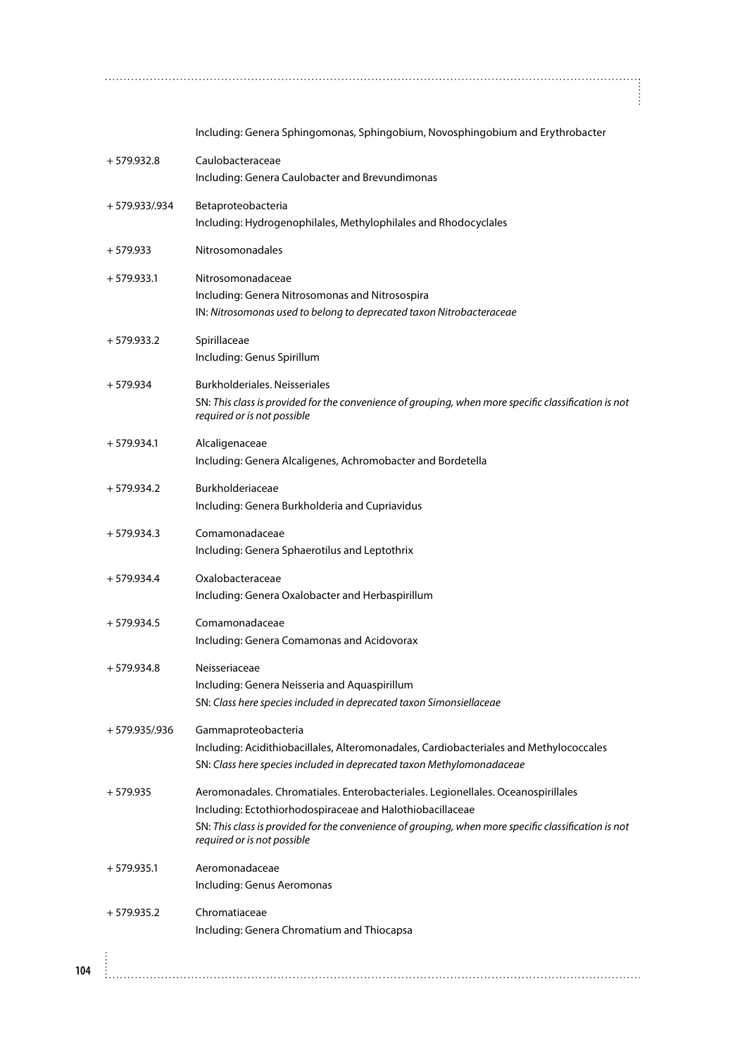|                | Including: Genera Sphingomonas, Sphingobium, Novosphingobium and Erythrobacter                                                                                                                                                                                                       |
|----------------|--------------------------------------------------------------------------------------------------------------------------------------------------------------------------------------------------------------------------------------------------------------------------------------|
| $+579.932.8$   | Caulobacteraceae<br>Including: Genera Caulobacter and Brevundimonas                                                                                                                                                                                                                  |
| + 579.933/.934 | Betaproteobacteria<br>Including: Hydrogenophilales, Methylophilales and Rhodocyclales                                                                                                                                                                                                |
| $+579.933$     | <b>Nitrosomonadales</b>                                                                                                                                                                                                                                                              |
| $+579.933.1$   | Nitrosomonadaceae<br>Including: Genera Nitrosomonas and Nitrosospira<br>IN: Nitrosomonas used to belong to deprecated taxon Nitrobacteraceae                                                                                                                                         |
| $+579.933.2$   | Spirillaceae<br>Including: Genus Spirillum                                                                                                                                                                                                                                           |
| $+579.934$     | Burkholderiales. Neisseriales<br>SN: This class is provided for the convenience of grouping, when more specific classification is not<br>required or is not possible                                                                                                                 |
| $+579.934.1$   | Alcaligenaceae<br>Including: Genera Alcaligenes, Achromobacter and Bordetella                                                                                                                                                                                                        |
| $+579.934.2$   | Burkholderiaceae<br>Including: Genera Burkholderia and Cupriavidus                                                                                                                                                                                                                   |
| $+579.934.3$   | Comamonadaceae<br>Including: Genera Sphaerotilus and Leptothrix                                                                                                                                                                                                                      |
| $+579.934.4$   | Oxalobacteraceae<br>Including: Genera Oxalobacter and Herbaspirillum                                                                                                                                                                                                                 |
| $+579.934.5$   | Comamonadaceae<br>Including: Genera Comamonas and Acidovorax                                                                                                                                                                                                                         |
| $+579.934.8$   | Neisseriaceae<br>Including: Genera Neisseria and Aquaspirillum<br>SN: Class here species included in deprecated taxon Simonsiellaceae                                                                                                                                                |
| + 579.935/.936 | Gammaproteobacteria<br>Including: Acidithiobacillales, Alteromonadales, Cardiobacteriales and Methylococcales<br>SN: Class here species included in deprecated taxon Methylomonadaceae                                                                                               |
| $+579.935$     | Aeromonadales. Chromatiales. Enterobacteriales. Legionellales. Oceanospirillales<br>Including: Ectothiorhodospiraceae and Halothiobacillaceae<br>SN: This class is provided for the convenience of grouping, when more specific classification is not<br>required or is not possible |
| $+579.935.1$   | Aeromonadaceae<br>Including: Genus Aeromonas                                                                                                                                                                                                                                         |
| $+579.935.2$   | Chromatiaceae<br>Including: Genera Chromatium and Thiocapsa                                                                                                                                                                                                                          |
|                |                                                                                                                                                                                                                                                                                      |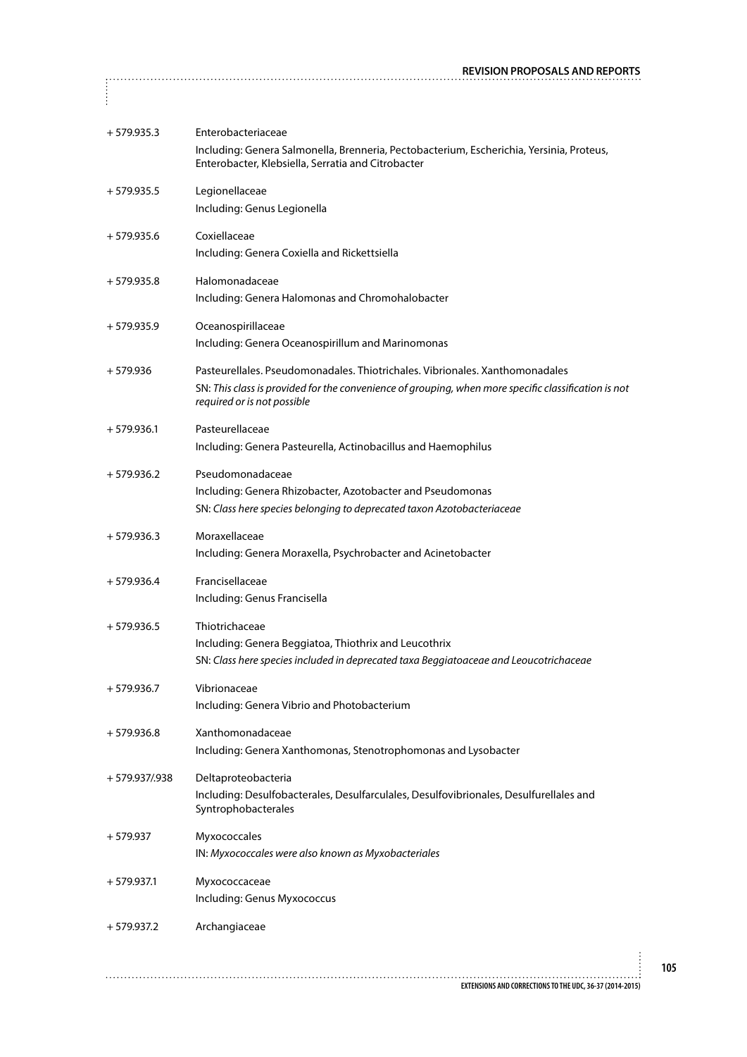| $+579.935.3$     | Enterobacteriaceae<br>Including: Genera Salmonella, Brenneria, Pectobacterium, Escherichia, Yersinia, Proteus,<br>Enterobacter, Klebsiella, Serratia and Citrobacter                                                |
|------------------|---------------------------------------------------------------------------------------------------------------------------------------------------------------------------------------------------------------------|
| $+579.935.5$     | Legionellaceae<br>Including: Genus Legionella                                                                                                                                                                       |
| $+579.935.6$     | Coxiellaceae<br>Including: Genera Coxiella and Rickettsiella                                                                                                                                                        |
| $+579.935.8$     | Halomonadaceae<br>Including: Genera Halomonas and Chromohalobacter                                                                                                                                                  |
| $+579.935.9$     | Oceanospirillaceae<br>Including: Genera Oceanospirillum and Marinomonas                                                                                                                                             |
| $+579.936$       | Pasteurellales. Pseudomonadales. Thiotrichales. Vibrionales. Xanthomonadales<br>SN: This class is provided for the convenience of grouping, when more specific classification is not<br>required or is not possible |
| $+579.936.1$     | Pasteurellaceae<br>Including: Genera Pasteurella, Actinobacillus and Haemophilus                                                                                                                                    |
| $+579.936.2$     | Pseudomonadaceae<br>Including: Genera Rhizobacter, Azotobacter and Pseudomonas<br>SN: Class here species belonging to deprecated taxon Azotobacteriaceae                                                            |
| $+579.936.3$     | Moraxellaceae<br>Including: Genera Moraxella, Psychrobacter and Acinetobacter                                                                                                                                       |
| $+579.936.4$     | Francisellaceae<br>Including: Genus Francisella                                                                                                                                                                     |
| $+579.936.5$     | Thiotrichaceae<br>Including: Genera Beggiatoa, Thiothrix and Leucothrix<br>SN: Class here species included in deprecated taxa Beggiatoaceae and Leoucotrichaceae                                                    |
| $+579.936.7$     | Vibrionaceae<br>Including: Genera Vibrio and Photobacterium                                                                                                                                                         |
| $+579.936.8$     | Xanthomonadaceae<br>Including: Genera Xanthomonas, Stenotrophomonas and Lysobacter                                                                                                                                  |
| $+579.937/0.938$ | Deltaproteobacteria<br>Including: Desulfobacterales, Desulfarculales, Desulfovibrionales, Desulfurellales and<br>Syntrophobacterales                                                                                |
| $+579.937$       | Myxococcales<br>IN: Myxococcales were also known as Myxobacteriales                                                                                                                                                 |
| $+579.937.1$     | Myxococcaceae<br>Including: Genus Myxococcus                                                                                                                                                                        |
| $+579.937.2$     | Archangiaceae                                                                                                                                                                                                       |
|                  |                                                                                                                                                                                                                     |
|                  | EXTENSIONS AND CORRECTIONS TO THE UDC, 36-37 (2014-2015)                                                                                                                                                            |

 $\begin{bmatrix} 1 & 0 & 0 \\ 0 & 0 & 0 \\ 0 & 0 & 0 \\ 0 & 0 & 0 \\ 0 & 0 & 0 \\ 0 & 0 & 0 \\ 0 & 0 & 0 \\ 0 & 0 & 0 \\ 0 & 0 & 0 \\ 0 & 0 & 0 & 0 \\ 0 & 0 & 0 & 0 \\ 0 & 0 & 0 & 0 \\ 0 & 0 & 0 & 0 \\ 0 & 0 & 0 & 0 & 0 \\ 0 & 0 & 0 & 0 & 0 \\ 0 & 0 & 0 & 0 & 0 \\ 0 & 0 & 0 & 0 & 0 \\ 0 & 0 & 0 & 0 & 0 & 0 \\ 0 & 0 &$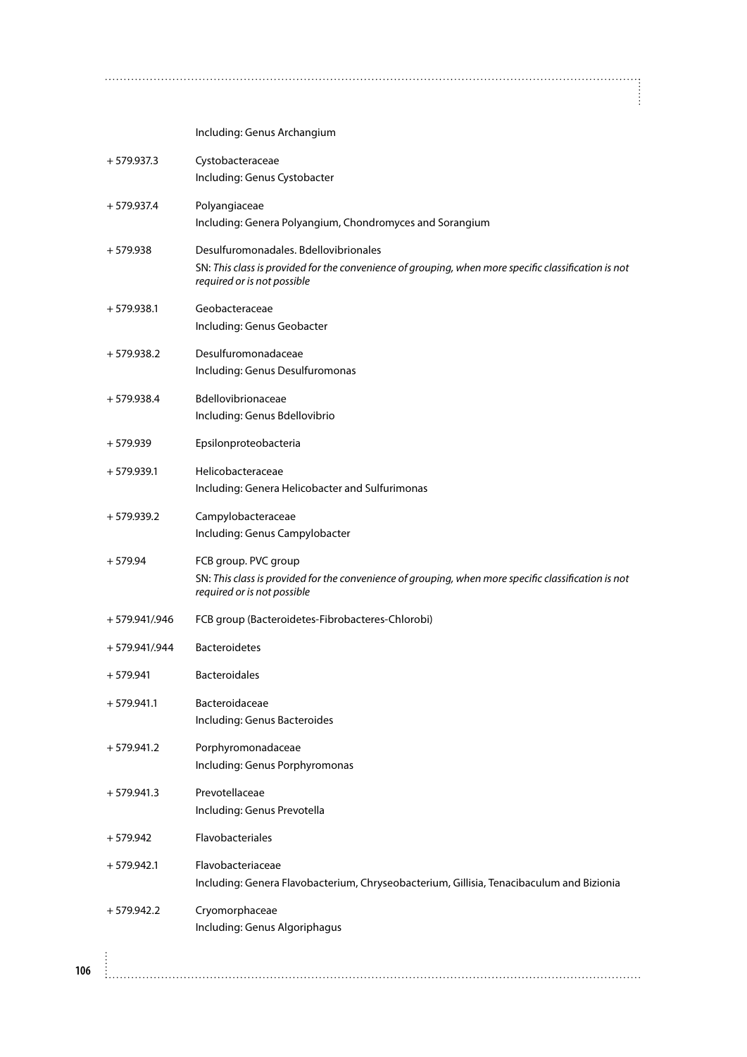Including: Genus Archangium

|     | $+579.937.3$   | Cystobacteraceae<br>Including: Genus Cystobacter                                                                                                                             |
|-----|----------------|------------------------------------------------------------------------------------------------------------------------------------------------------------------------------|
|     | $+579.937.4$   | Polyangiaceae<br>Including: Genera Polyangium, Chondromyces and Sorangium                                                                                                    |
|     | $+579.938$     | Desulfuromonadales. Bdellovibrionales<br>SN: This class is provided for the convenience of grouping, when more specific classification is not<br>required or is not possible |
|     | $+579.938.1$   | Geobacteraceae<br>Including: Genus Geobacter                                                                                                                                 |
|     | $+579.938.2$   | Desulfuromonadaceae<br>Including: Genus Desulfuromonas                                                                                                                       |
|     | $+579.938.4$   | <b>Bdellovibrionaceae</b><br>Including: Genus Bdellovibrio                                                                                                                   |
|     | $+579.939$     | Epsilonproteobacteria                                                                                                                                                        |
|     | $+579.939.1$   | Helicobacteraceae<br>Including: Genera Helicobacter and Sulfurimonas                                                                                                         |
|     | $+579.939.2$   | Campylobacteraceae<br>Including: Genus Campylobacter                                                                                                                         |
|     | $+579.94$      | FCB group. PVC group<br>SN: This class is provided for the convenience of grouping, when more specific classification is not<br>required or is not possible                  |
|     | + 579.941/.946 | FCB group (Bacteroidetes-Fibrobacteres-Chlorobi)                                                                                                                             |
|     | + 579.941/.944 | <b>Bacteroidetes</b>                                                                                                                                                         |
|     | $+579.941$     | <b>Bacteroidales</b>                                                                                                                                                         |
|     | $+579.941.1$   | <b>Bacteroidaceae</b><br>Including: Genus Bacteroides                                                                                                                        |
|     | $+579.941.2$   | Porphyromonadaceae<br>Including: Genus Porphyromonas                                                                                                                         |
|     | $+579.941.3$   | Prevotellaceae<br>Including: Genus Prevotella                                                                                                                                |
|     | $+579.942$     | Flavobacteriales                                                                                                                                                             |
|     | $+579.942.1$   | Flavobacteriaceae<br>Including: Genera Flavobacterium, Chryseobacterium, Gillisia, Tenacibaculum and Bizionia                                                                |
|     | $+579.942.2$   | Cryomorphaceae<br>Including: Genus Algoriphagus                                                                                                                              |
| 106 |                |                                                                                                                                                                              |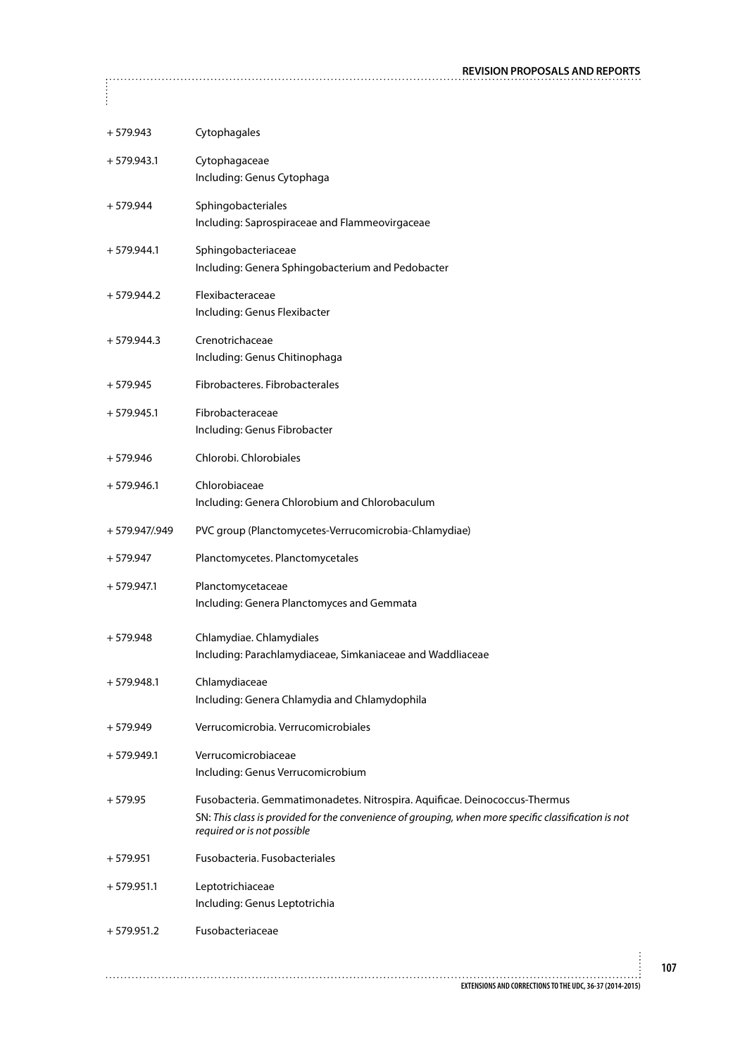| $+579.943$     | Cytophagales                                                                                                                                                                                                      |  |
|----------------|-------------------------------------------------------------------------------------------------------------------------------------------------------------------------------------------------------------------|--|
| $+579.943.1$   | Cytophagaceae<br>Including: Genus Cytophaga                                                                                                                                                                       |  |
| $+579.944$     | Sphingobacteriales<br>Including: Saprospiraceae and Flammeovirgaceae                                                                                                                                              |  |
| $+579.944.1$   | Sphingobacteriaceae<br>Including: Genera Sphingobacterium and Pedobacter                                                                                                                                          |  |
| $+579.944.2$   | Flexibacteraceae<br>Including: Genus Flexibacter                                                                                                                                                                  |  |
| $+579.944.3$   | Crenotrichaceae<br>Including: Genus Chitinophaga                                                                                                                                                                  |  |
| $+579.945$     | Fibrobacteres, Fibrobacterales                                                                                                                                                                                    |  |
| $+579.945.1$   | Fibrobacteraceae<br>Including: Genus Fibrobacter                                                                                                                                                                  |  |
| $+579.946$     | Chlorobi, Chlorobiales                                                                                                                                                                                            |  |
| $+579.946.1$   | Chlorobiaceae<br>Including: Genera Chlorobium and Chlorobaculum                                                                                                                                                   |  |
| + 579.947/.949 | PVC group (Planctomycetes-Verrucomicrobia-Chlamydiae)                                                                                                                                                             |  |
| $+579.947$     | Planctomycetes. Planctomycetales                                                                                                                                                                                  |  |
| $+579.947.1$   | Planctomycetaceae<br>Including: Genera Planctomyces and Gemmata                                                                                                                                                   |  |
| $+579.948$     | Chlamydiae. Chlamydiales<br>Including: Parachlamydiaceae, Simkaniaceae and Waddliaceae                                                                                                                            |  |
| $+579.948.1$   | Chlamydiaceae<br>Including: Genera Chlamydia and Chlamydophila                                                                                                                                                    |  |
| $+579.949$     | Verrucomicrobia. Verrucomicrobiales                                                                                                                                                                               |  |
| $+579.949.1$   | Verrucomicrobiaceae<br>Including: Genus Verrucomicrobium                                                                                                                                                          |  |
| $+579.95$      | Fusobacteria. Gemmatimonadetes. Nitrospira. Aquificae. Deinococcus-Thermus<br>SN: This class is provided for the convenience of grouping, when more specific classification is not<br>required or is not possible |  |
| $+579.951$     | Fusobacteria. Fusobacteriales                                                                                                                                                                                     |  |
| $+579.951.1$   | Leptotrichiaceae<br>Including: Genus Leptotrichia                                                                                                                                                                 |  |
| $+579.951.2$   | Fusobacteriaceae                                                                                                                                                                                                  |  |
|                |                                                                                                                                                                                                                   |  |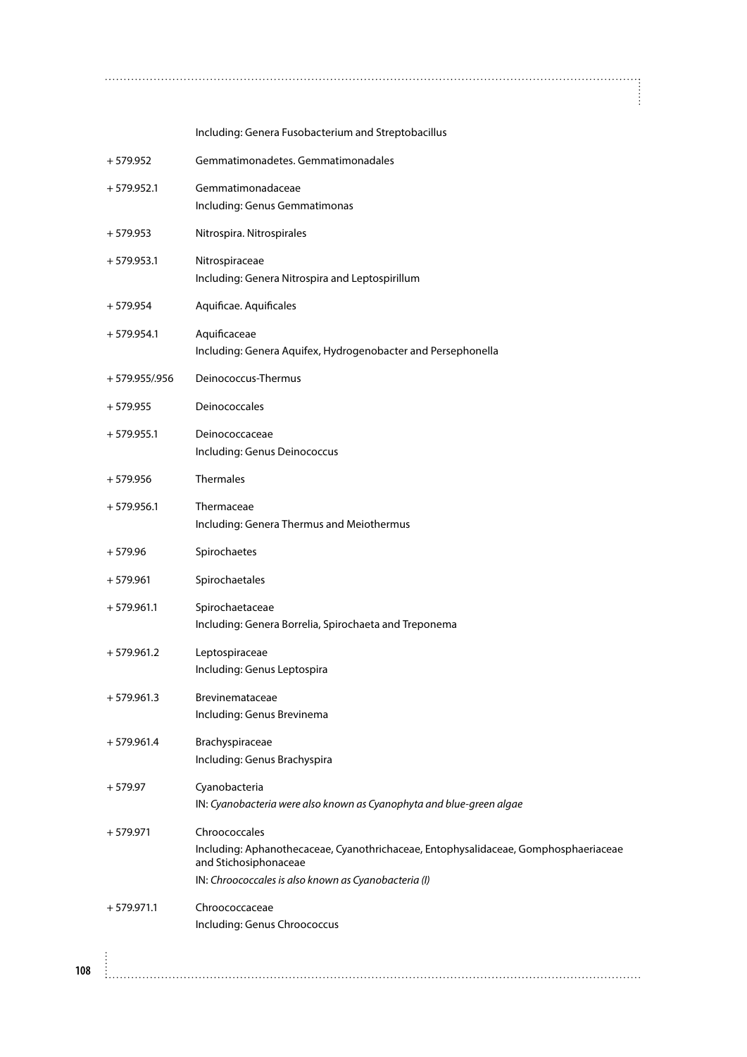Including: Genera Fusobacterium and Streptobacillus

 $\ddot{\ddot{\cdot}}$ 

| $+579.952$     | Gemmatimonadetes. Gemmatimonadales                                                                                                                                                    |
|----------------|---------------------------------------------------------------------------------------------------------------------------------------------------------------------------------------|
| $+579.952.1$   | Gemmatimonadaceae<br>Including: Genus Gemmatimonas                                                                                                                                    |
| $+579.953$     | Nitrospira. Nitrospirales                                                                                                                                                             |
|                |                                                                                                                                                                                       |
| $+579.953.1$   | Nitrospiraceae<br>Including: Genera Nitrospira and Leptospirillum                                                                                                                     |
| $+579.954$     | Aquificae. Aquificales                                                                                                                                                                |
| $+579.954.1$   | Aquificaceae<br>Including: Genera Aquifex, Hydrogenobacter and Persephonella                                                                                                          |
| + 579.955/.956 | Deinococcus-Thermus                                                                                                                                                                   |
| $+579.955$     | Deinococcales                                                                                                                                                                         |
| $+579.955.1$   | Deinococcaceae<br>Including: Genus Deinococcus                                                                                                                                        |
| $+579.956$     | Thermales                                                                                                                                                                             |
| $+579.956.1$   | Thermaceae<br>Including: Genera Thermus and Meiothermus                                                                                                                               |
| $+579.96$      | Spirochaetes                                                                                                                                                                          |
| $+579.961$     | Spirochaetales                                                                                                                                                                        |
| $+579.961.1$   | Spirochaetaceae<br>Including: Genera Borrelia, Spirochaeta and Treponema                                                                                                              |
| $+579.961.2$   | Leptospiraceae<br>Including: Genus Leptospira                                                                                                                                         |
| $+579.961.3$   | Brevinemataceae<br>Including: Genus Brevinema                                                                                                                                         |
| $+579.961.4$   | Brachyspiraceae<br>Including: Genus Brachyspira                                                                                                                                       |
| $+579.97$      | Cyanobacteria<br>IN: Cyanobacteria were also known as Cyanophyta and blue-green algae                                                                                                 |
| $+579.971$     | Chroococcales<br>Including: Aphanothecaceae, Cyanothrichaceae, Entophysalidaceae, Gomphosphaeriaceae<br>and Stichosiphonaceae<br>IN: Chroococcales is also known as Cyanobacteria (I) |
| $+579.971.1$   | Chroococcaceae<br>Including: Genus Chroococcus                                                                                                                                        |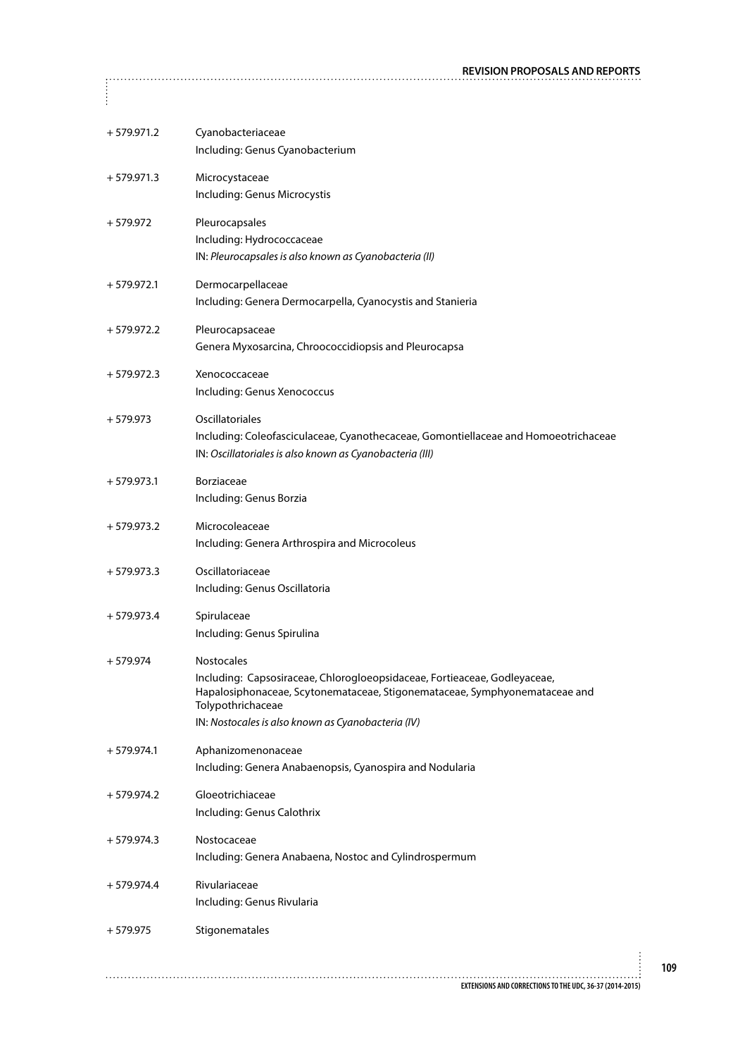| $+579.971.2$ | Cyanobacteriaceae<br>Including: Genus Cyanobacterium                                                                                                                                                                                                    |
|--------------|---------------------------------------------------------------------------------------------------------------------------------------------------------------------------------------------------------------------------------------------------------|
| $+579.971.3$ | Microcystaceae<br>Including: Genus Microcystis                                                                                                                                                                                                          |
| $+579.972$   | Pleurocapsales<br>Including: Hydrococcaceae<br>IN: Pleurocapsales is also known as Cyanobacteria (II)                                                                                                                                                   |
| $+579.972.1$ | Dermocarpellaceae<br>Including: Genera Dermocarpella, Cyanocystis and Stanieria                                                                                                                                                                         |
| $+579.972.2$ | Pleurocapsaceae<br>Genera Myxosarcina, Chroococcidiopsis and Pleurocapsa                                                                                                                                                                                |
| $+579.972.3$ | Xenococcaceae<br>Including: Genus Xenococcus                                                                                                                                                                                                            |
| $+579.973$   | Oscillatoriales<br>Including: Coleofasciculaceae, Cyanothecaceae, Gomontiellaceae and Homoeotrichaceae<br>IN: Oscillatoriales is also known as Cyanobacteria (III)                                                                                      |
| $+579.973.1$ | Borziaceae<br>Including: Genus Borzia                                                                                                                                                                                                                   |
| $+579.973.2$ | Microcoleaceae<br>Including: Genera Arthrospira and Microcoleus                                                                                                                                                                                         |
| $+579.973.3$ | Oscillatoriaceae<br>Including: Genus Oscillatoria                                                                                                                                                                                                       |
| $+579.973.4$ | Spirulaceae<br>Including: Genus Spirulina                                                                                                                                                                                                               |
| $+579.974$   | <b>Nostocales</b><br>Including: Capsosiraceae, Chlorogloeopsidaceae, Fortieaceae, Godleyaceae,<br>Hapalosiphonaceae, Scytonemataceae, Stigonemataceae, Symphyonemataceae and<br>Tolypothrichaceae<br>IN: Nostocales is also known as Cyanobacteria (IV) |
| $+579.974.1$ | Aphanizomenonaceae<br>Including: Genera Anabaenopsis, Cyanospira and Nodularia                                                                                                                                                                          |
| $+579.974.2$ | Gloeotrichiaceae<br>Including: Genus Calothrix                                                                                                                                                                                                          |
| $+579.974.3$ | Nostocaceae<br>Including: Genera Anabaena, Nostoc and Cylindrospermum                                                                                                                                                                                   |
| $+579.974.4$ | Rivulariaceae<br>Including: Genus Rivularia                                                                                                                                                                                                             |
| $+579.975$   | Stigonematales                                                                                                                                                                                                                                          |
|              |                                                                                                                                                                                                                                                         |

 $\begin{bmatrix} 0 & 0 & 0 \\ 0 & 0 & 0 \\ 0 & 0 & 0 \\ 0 & 0 & 0 \\ 0 & 0 & 0 \\ 0 & 0 & 0 \\ 0 & 0 & 0 \\ 0 & 0 & 0 \\ 0 & 0 & 0 \\ 0 & 0 & 0 \\ 0 & 0 & 0 & 0 \\ 0 & 0 & 0 & 0 \\ 0 & 0 & 0 & 0 \\ 0 & 0 & 0 & 0 & 0 \\ 0 & 0 & 0 & 0 & 0 \\ 0 & 0 & 0 & 0 & 0 \\ 0 & 0 & 0 & 0 & 0 & 0 \\ 0 & 0 & 0 & 0 & 0 & 0 \\ 0 & 0 &$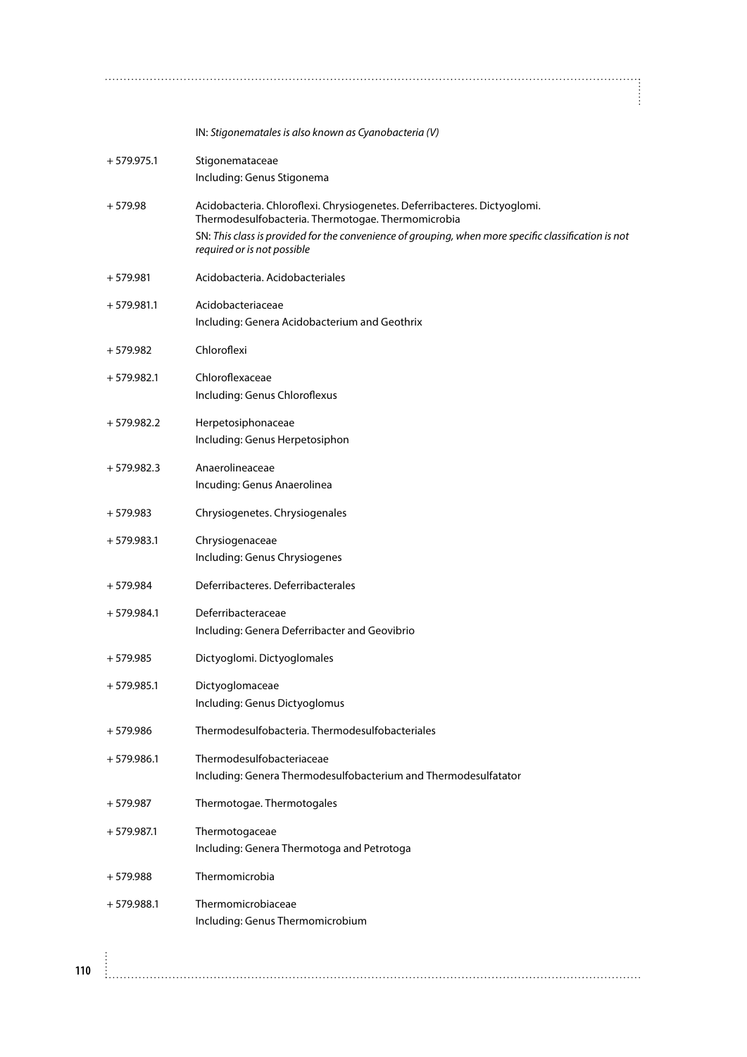IN: *Stigonematales is also known as Cyanobacteria (V)* + 579.975.1 Stigonemataceae Including: Genus Stigonema + 579.98 Acidobacteria. Chloroflexi. Chrysiogenetes. Deferribacteres. Dictyoglomi. Thermodesulfobacteria. Thermotogae. Thermomicrobia SN: *This class is provided for the convenience of grouping, when more specific classification is not required or is not possible* + 579.981 Acidobacteria. Acidobacteriales + 579.981.1 Acidobacteriaceae Including: Genera Acidobacterium and Geothrix + 579.982 Chloroflexi + 579.982.1 Chloroflexaceae Including: Genus Chloroflexus + 579.982.2 Herpetosiphonaceae Including: Genus Herpetosiphon

+ 579.982.3 Anaerolineaceae Incuding: Genus Anaerolinea

+ 579.983 Chrysiogenetes. Chrysiogenales

+ 579.983.1 Chrysiogenaceae Including: Genus Chrysiogenes

+ 579.984 Deferribacteres. Deferribacterales

+ 579.984.1 Deferribacteraceae Including: Genera Deferribacter and Geovibrio

+ 579.985 Dictyoglomi. Dictyoglomales

+ 579.985.1 Dictyoglomaceae Including: Genus Dictyoglomus

+ 579.986 Thermodesulfobacteria. Thermodesulfobacteriales

+ 579.986.1 Thermodesulfobacteriaceae Including: Genera Thermodesulfobacterium and Thermodesulfatator

+ 579.987 Thermotogae. Thermotogales

+ 579.987.1 Thermotogaceae Including: Genera Thermotoga and Petrotoga

+ 579.988 Thermomicrobia

+ 579.988.1 Thermomicrobiaceae Including: Genus Thermomicrobium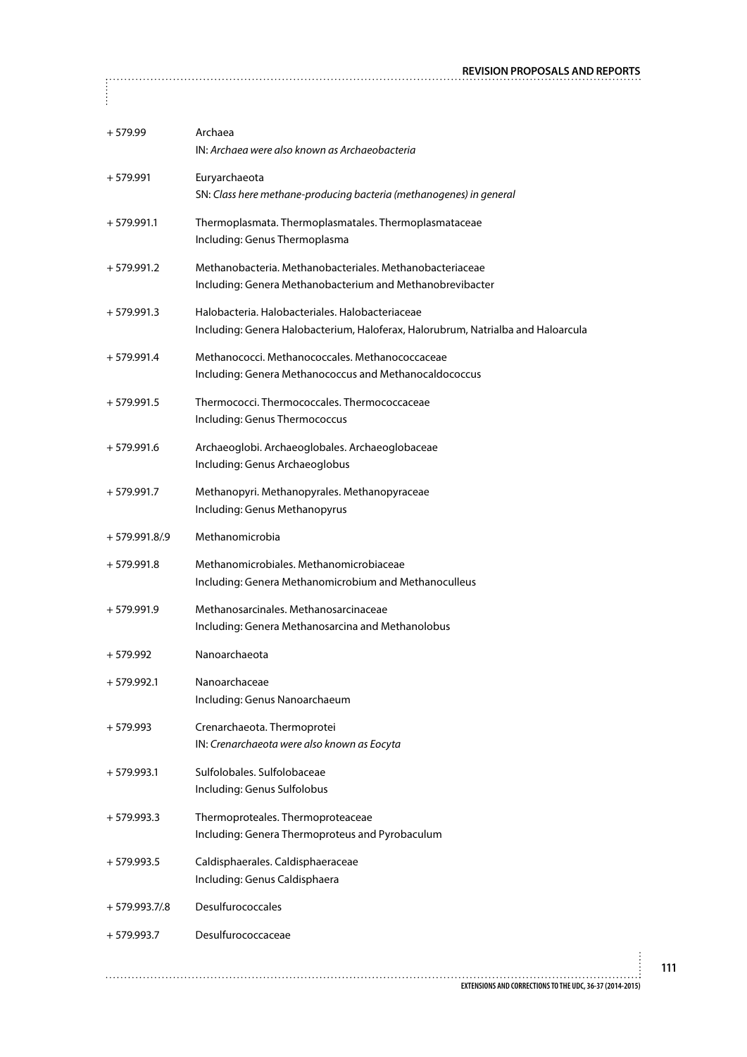| $+579.99$      | Archaea<br>IN: Archaea were also known as Archaeobacteria                                                                           |
|----------------|-------------------------------------------------------------------------------------------------------------------------------------|
| $+579.991$     | Euryarchaeota<br>SN: Class here methane-producing bacteria (methanogenes) in general                                                |
| $+579.991.1$   | Thermoplasmata. Thermoplasmatales. Thermoplasmataceae<br>Including: Genus Thermoplasma                                              |
| $+579.991.2$   | Methanobacteria. Methanobacteriales. Methanobacteriaceae<br>Including: Genera Methanobacterium and Methanobrevibacter               |
| $+579.991.3$   | Halobacteria. Halobacteriales. Halobacteriaceae<br>Including: Genera Halobacterium, Haloferax, Halorubrum, Natrialba and Haloarcula |
| $+579.991.4$   | Methanococci. Methanococcales. Methanococcaceae<br>Including: Genera Methanococcus and Methanocaldococcus                           |
| $+579.991.5$   | Thermococci. Thermococcales. Thermococcaceae<br>Including: Genus Thermococcus                                                       |
| $+579.991.6$   | Archaeoglobi. Archaeoglobales. Archaeoglobaceae<br>Including: Genus Archaeoglobus                                                   |
| $+579.991.7$   | Methanopyri. Methanopyrales. Methanopyraceae<br>Including: Genus Methanopyrus                                                       |
| $+579.991.8/9$ | Methanomicrobia                                                                                                                     |
| $+579.991.8$   | Methanomicrobiales. Methanomicrobiaceae<br>Including: Genera Methanomicrobium and Methanoculleus                                    |
| $+579.991.9$   | Methanosarcinales. Methanosarcinaceae<br>Including: Genera Methanosarcina and Methanolobus                                          |
| $+579.992$     | Nanoarchaeota                                                                                                                       |
| $+579.992.1$   | Nanoarchaceae<br>Including: Genus Nanoarchaeum                                                                                      |
| $+579.993$     | Crenarchaeota. Thermoprotei<br>IN: Crenarchaeota were also known as Eocyta                                                          |
| $+579.993.1$   | Sulfolobales, Sulfolobaceae<br>Including: Genus Sulfolobus                                                                          |
| $+579.993.3$   | Thermoproteales. Thermoproteaceae<br>Including: Genera Thermoproteus and Pyrobaculum                                                |
| $+579.993.5$   | Caldisphaerales. Caldisphaeraceae<br>Including: Genus Caldisphaera                                                                  |
| $+579.993.7/8$ | <b>Desulfurococcales</b>                                                                                                            |
| $+579.993.7$   | Desulfurococcaceae                                                                                                                  |
|                |                                                                                                                                     |
|                | EXTENSIONS AND CORRECTIONS TO THE UDC, 36-37 (2014-2015)                                                                            |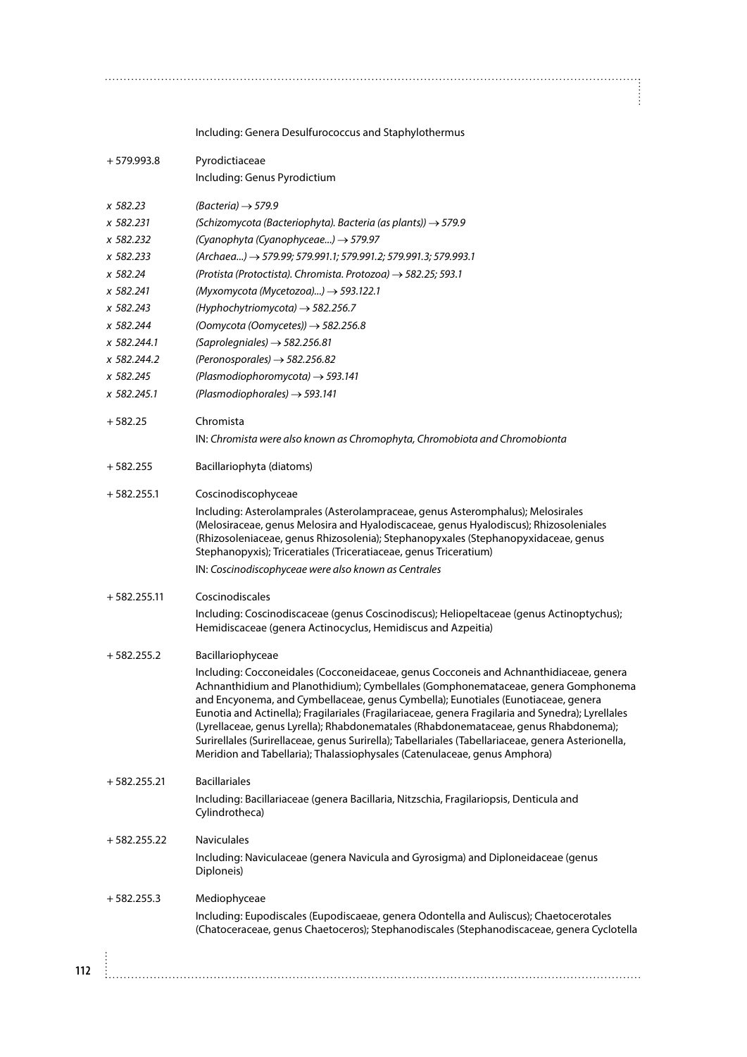Including: Genera Desulfurococcus and Staphylothermus

| $+579.993.8$  | Pyrodictiaceae<br>Including: Genus Pyrodictium                                                                                                                                                                                                                                                                                                                                                                                                                                                                                                                                                                                                  |
|---------------|-------------------------------------------------------------------------------------------------------------------------------------------------------------------------------------------------------------------------------------------------------------------------------------------------------------------------------------------------------------------------------------------------------------------------------------------------------------------------------------------------------------------------------------------------------------------------------------------------------------------------------------------------|
| x 582.23      | $(Bacteria) \rightarrow 579.9$                                                                                                                                                                                                                                                                                                                                                                                                                                                                                                                                                                                                                  |
| x 582.231     | (Schizomycota (Bacteriophyta). Bacteria (as plants)) $\rightarrow$ 579.9                                                                                                                                                                                                                                                                                                                                                                                                                                                                                                                                                                        |
| x 582.232     | (Cyanophyta (Cyanophyceae) → 579.97                                                                                                                                                                                                                                                                                                                                                                                                                                                                                                                                                                                                             |
| x 582.233     | (Archaea) → 579.99; 579.991.1; 579.991.2; 579.991.3; 579.993.1                                                                                                                                                                                                                                                                                                                                                                                                                                                                                                                                                                                  |
| x 582.24      | (Protista (Protoctista). Chromista. Protozoa) $\rightarrow$ 582.25; 593.1                                                                                                                                                                                                                                                                                                                                                                                                                                                                                                                                                                       |
| x 582.241     | (Myxomycota (Mycetozoa)) $\rightarrow$ 593.122.1                                                                                                                                                                                                                                                                                                                                                                                                                                                                                                                                                                                                |
| x 582.243     | (Hyphochytriomycota) $\rightarrow$ 582.256.7                                                                                                                                                                                                                                                                                                                                                                                                                                                                                                                                                                                                    |
| x 582.244     | (Oomycota (Oomycetes)) $\rightarrow$ 582.256.8                                                                                                                                                                                                                                                                                                                                                                                                                                                                                                                                                                                                  |
| x 582.244.1   | (Saprolegniales) $\rightarrow$ 582.256.81                                                                                                                                                                                                                                                                                                                                                                                                                                                                                                                                                                                                       |
| x 582.244.2   | (Peronosporales) $\rightarrow$ 582.256.82                                                                                                                                                                                                                                                                                                                                                                                                                                                                                                                                                                                                       |
| x 582.245     | (Plasmodiophoromycota) $\rightarrow$ 593.141                                                                                                                                                                                                                                                                                                                                                                                                                                                                                                                                                                                                    |
| x 582.245.1   | (Plasmodiophorales) $\rightarrow$ 593.141                                                                                                                                                                                                                                                                                                                                                                                                                                                                                                                                                                                                       |
| $+582.25$     | Chromista                                                                                                                                                                                                                                                                                                                                                                                                                                                                                                                                                                                                                                       |
|               | IN: Chromista were also known as Chromophyta, Chromobiota and Chromobionta                                                                                                                                                                                                                                                                                                                                                                                                                                                                                                                                                                      |
| $+582.255$    | Bacillariophyta (diatoms)                                                                                                                                                                                                                                                                                                                                                                                                                                                                                                                                                                                                                       |
| $+582.255.1$  | Coscinodiscophyceae                                                                                                                                                                                                                                                                                                                                                                                                                                                                                                                                                                                                                             |
|               | Including: Asterolamprales (Asterolampraceae, genus Asteromphalus); Melosirales<br>(Melosiraceae, genus Melosira and Hyalodiscaceae, genus Hyalodiscus); Rhizosoleniales<br>(Rhizosoleniaceae, genus Rhizosolenia); Stephanopyxales (Stephanopyxidaceae, genus<br>Stephanopyxis); Triceratiales (Triceratiaceae, genus Triceratium)                                                                                                                                                                                                                                                                                                             |
|               | IN: Coscinodiscophyceae were also known as Centrales                                                                                                                                                                                                                                                                                                                                                                                                                                                                                                                                                                                            |
| $+582.255.11$ | Coscinodiscales                                                                                                                                                                                                                                                                                                                                                                                                                                                                                                                                                                                                                                 |
|               | Including: Coscinodiscaceae (genus Coscinodiscus); Heliopeltaceae (genus Actinoptychus);<br>Hemidiscaceae (genera Actinocyclus, Hemidiscus and Azpeitia)                                                                                                                                                                                                                                                                                                                                                                                                                                                                                        |
| $+582.255.2$  | Bacillariophyceae                                                                                                                                                                                                                                                                                                                                                                                                                                                                                                                                                                                                                               |
|               | Including: Cocconeidales (Cocconeidaceae, genus Cocconeis and Achnanthidiaceae, genera<br>Achnanthidium and Planothidium); Cymbellales (Gomphonemataceae, genera Gomphonema<br>and Encyonema, and Cymbellaceae, genus Cymbella); Eunotiales (Eunotiaceae, genera<br>Eunotia and Actinella); Fragilariales (Fragilariaceae, genera Fragilaria and Synedra); Lyrellales<br>(Lyrellaceae, genus Lyrella); Rhabdonematales (Rhabdonemataceae, genus Rhabdonema);<br>Surirellales (Surirellaceae, genus Surirella); Tabellariales (Tabellariaceae, genera Asterionella,<br>Meridion and Tabellaria); Thalassiophysales (Catenulaceae, genus Amphora) |
| $+582.255.21$ | <b>Bacillariales</b>                                                                                                                                                                                                                                                                                                                                                                                                                                                                                                                                                                                                                            |
|               | Including: Bacillariaceae (genera Bacillaria, Nitzschia, Fragilariopsis, Denticula and<br>Cylindrotheca)                                                                                                                                                                                                                                                                                                                                                                                                                                                                                                                                        |
| $+582.255.22$ | <b>Naviculales</b>                                                                                                                                                                                                                                                                                                                                                                                                                                                                                                                                                                                                                              |
|               | Including: Naviculaceae (genera Navicula and Gyrosigma) and Diploneidaceae (genus<br>Diploneis)                                                                                                                                                                                                                                                                                                                                                                                                                                                                                                                                                 |
| $+582.255.3$  | Mediophyceae                                                                                                                                                                                                                                                                                                                                                                                                                                                                                                                                                                                                                                    |
|               | Including: Eupodiscales (Eupodiscaeae, genera Odontella and Auliscus); Chaetocerotales<br>(Chatoceraceae, genus Chaetoceros); Stephanodiscales (Stephanodiscaceae, genera Cyclotella                                                                                                                                                                                                                                                                                                                                                                                                                                                            |
|               |                                                                                                                                                                                                                                                                                                                                                                                                                                                                                                                                                                                                                                                 |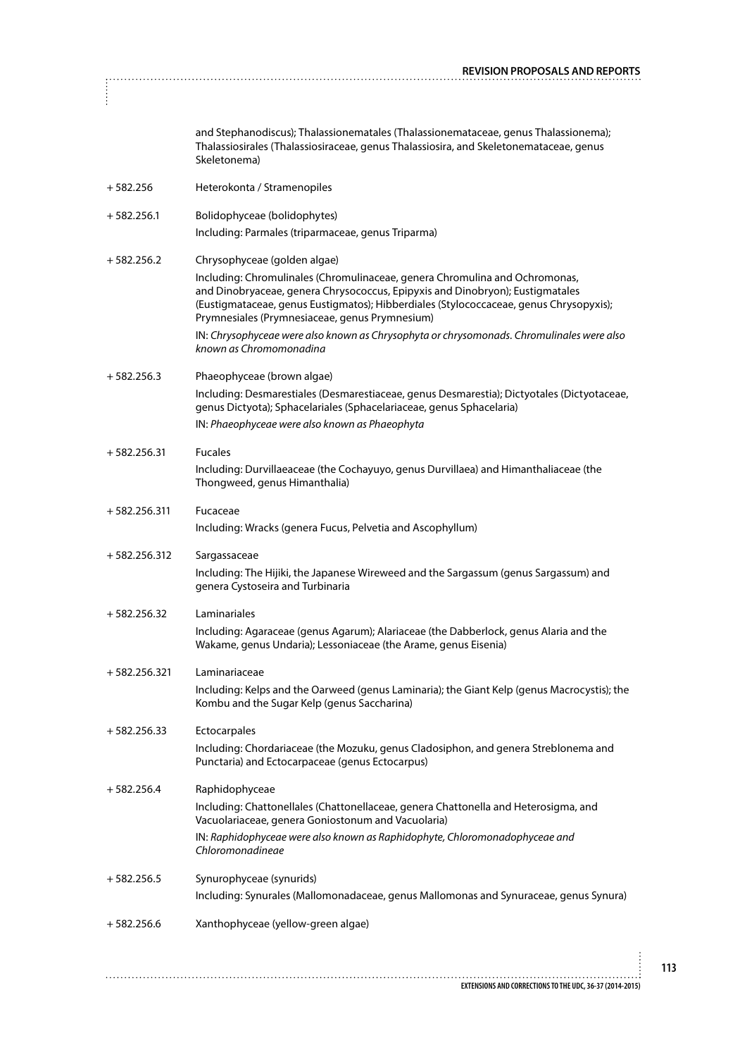| İ              | <b>REVISION PROPOSALS AND REPORT</b>                                                                                                                                                                                                                                                                     |
|----------------|----------------------------------------------------------------------------------------------------------------------------------------------------------------------------------------------------------------------------------------------------------------------------------------------------------|
|                | and Stephanodiscus); Thalassionematales (Thalassionemataceae, genus Thalassionema);<br>Thalassiosirales (Thalassiosiraceae, genus Thalassiosira, and Skeletonemataceae, genus<br>Skeletonema)                                                                                                            |
| $+582.256$     | Heterokonta / Stramenopiles                                                                                                                                                                                                                                                                              |
| $+582.256.1$   | Bolidophyceae (bolidophytes)<br>Including: Parmales (triparmaceae, genus Triparma)                                                                                                                                                                                                                       |
| $+582.256.2$   | Chrysophyceae (golden algae)                                                                                                                                                                                                                                                                             |
|                | Including: Chromulinales (Chromulinaceae, genera Chromulina and Ochromonas,<br>and Dinobryaceae, genera Chrysococcus, Epipyxis and Dinobryon); Eustigmatales<br>(Eustigmataceae, genus Eustigmatos); Hibberdiales (Stylococcaceae, genus Chrysopyxis);<br>Prymnesiales (Prymnesiaceae, genus Prymnesium) |
|                | IN: Chrysophyceae were also known as Chrysophyta or chrysomonads. Chromulinales were also<br>known as Chromomonadina                                                                                                                                                                                     |
| $+582.256.3$   | Phaeophyceae (brown algae)<br>Including: Desmarestiales (Desmarestiaceae, genus Desmarestia); Dictyotales (Dictyotaceae,<br>genus Dictyota); Sphacelariales (Sphacelariaceae, genus Sphacelaria)                                                                                                         |
|                | IN: Phaeophyceae were also known as Phaeophyta                                                                                                                                                                                                                                                           |
| $+582.256.31$  | <b>Fucales</b>                                                                                                                                                                                                                                                                                           |
|                | Including: Durvillaeaceae (the Cochayuyo, genus Durvillaea) and Himanthaliaceae (the<br>Thongweed, genus Himanthalia)                                                                                                                                                                                    |
| $+582.256.311$ | Fucaceae<br>Including: Wracks (genera Fucus, Pelvetia and Ascophyllum)                                                                                                                                                                                                                                   |
| $+582.256.312$ | Sargassaceae<br>Including: The Hijiki, the Japanese Wireweed and the Sargassum (genus Sargassum) and<br>genera Cystoseira and Turbinaria                                                                                                                                                                 |
| $+582.256.32$  | Laminariales<br>Including: Agaraceae (genus Agarum); Alariaceae (the Dabberlock, genus Alaria and the<br>Wakame, genus Undaria); Lessoniaceae (the Arame, genus Eisenia)                                                                                                                                 |
| $+582.256.321$ | Laminariaceae<br>Including: Kelps and the Oarweed (genus Laminaria); the Giant Kelp (genus Macrocystis); the<br>Kombu and the Sugar Kelp (genus Saccharina)                                                                                                                                              |
| $+582.256.33$  | Ectocarpales<br>Including: Chordariaceae (the Mozuku, genus Cladosiphon, and genera Streblonema and<br>Punctaria) and Ectocarpaceae (genus Ectocarpus)                                                                                                                                                   |
| $+582.256.4$   | Raphidophyceae<br>Including: Chattonellales (Chattonellaceae, genera Chattonella and Heterosigma, and<br>Vacuolariaceae, genera Goniostonum and Vacuolaria)                                                                                                                                              |
|                | IN: Raphidophyceae were also known as Raphidophyte, Chloromonadophyceae and<br>Chloromonadineae                                                                                                                                                                                                          |
| $+582.256.5$   | Synurophyceae (synurids)                                                                                                                                                                                                                                                                                 |
|                | Including: Synurales (Mallomonadaceae, genus Mallomonas and Synuraceae, genus Synura)                                                                                                                                                                                                                    |
| $+582.256.6$   | Xanthophyceae (yellow-green algae)                                                                                                                                                                                                                                                                       |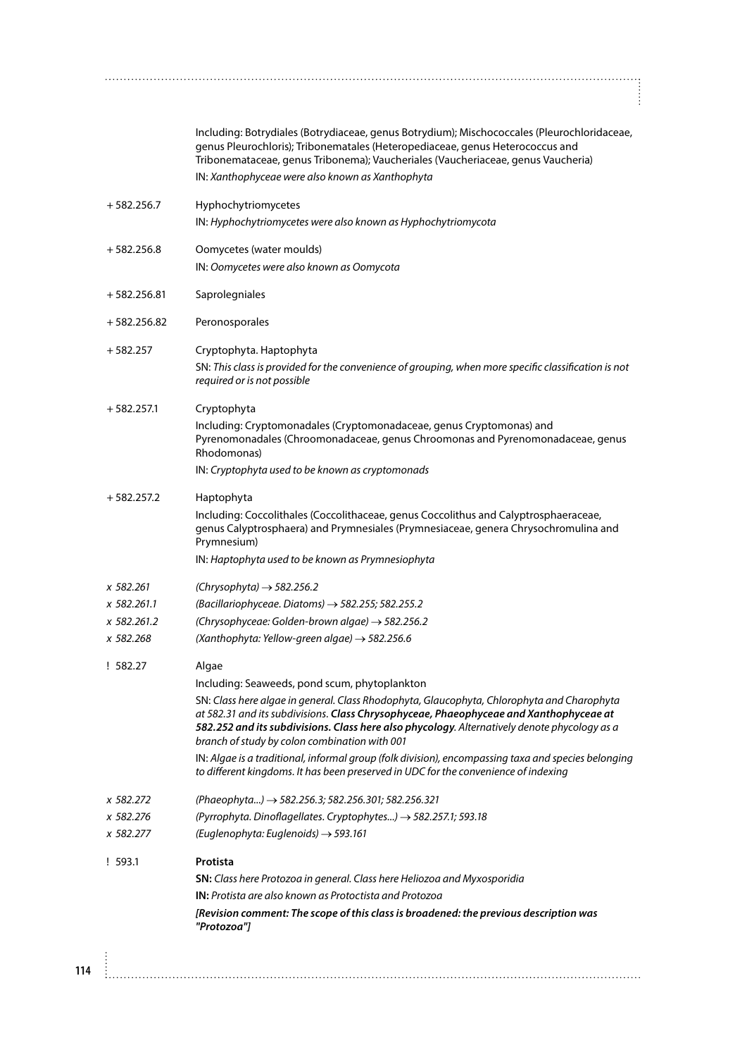| (Chrysophyceae: Golden-brown algae) $\rightarrow$ 582.256.2<br>(Xanthophyta: Yellow-green algae) $\rightarrow$ 582.256.6<br>Algae<br>Including: Seaweeds, pond scum, phytoplankton<br>branch of study by colon combination with 001<br>to different kingdoms. It has been preserved in UDC for the convenience of indexing<br>(Phaeophyta) → 582.256.3; 582.256.301; 582.256.321<br>(Pyrrophyta. Dinoflagellates. Cryptophytes) → 582.257.1; 593.18<br>(Euglenophyta: Euglenoids) → 593.161<br>Protista |
|---------------------------------------------------------------------------------------------------------------------------------------------------------------------------------------------------------------------------------------------------------------------------------------------------------------------------------------------------------------------------------------------------------------------------------------------------------------------------------------------------------|
|                                                                                                                                                                                                                                                                                                                                                                                                                                                                                                         |
|                                                                                                                                                                                                                                                                                                                                                                                                                                                                                                         |
|                                                                                                                                                                                                                                                                                                                                                                                                                                                                                                         |
| SN: Class here algae in general. Class Rhodophyta, Glaucophyta, Chlorophyta and Charophyta<br>at 582.31 and its subdivisions. Class Chrysophyceae, Phaeophyceae and Xanthophyceae at<br>582.252 and its subdivisions. Class here also phycology. Alternatively denote phycology as a<br>IN: Algae is a traditional, informal group (folk division), encompassing taxa and species belonging                                                                                                             |
|                                                                                                                                                                                                                                                                                                                                                                                                                                                                                                         |
|                                                                                                                                                                                                                                                                                                                                                                                                                                                                                                         |
|                                                                                                                                                                                                                                                                                                                                                                                                                                                                                                         |
|                                                                                                                                                                                                                                                                                                                                                                                                                                                                                                         |
|                                                                                                                                                                                                                                                                                                                                                                                                                                                                                                         |
|                                                                                                                                                                                                                                                                                                                                                                                                                                                                                                         |
| (Bacillariophyceae. Diatoms) $\rightarrow$ 582.255; 582.255.2                                                                                                                                                                                                                                                                                                                                                                                                                                           |
| (Chrysophyta) $\rightarrow$ 582.256.2                                                                                                                                                                                                                                                                                                                                                                                                                                                                   |
| IN: Haptophyta used to be known as Prymnesiophyta                                                                                                                                                                                                                                                                                                                                                                                                                                                       |
| Including: Coccolithales (Coccolithaceae, genus Coccolithus and Calyptrosphaeraceae,<br>genus Calyptrosphaera) and Prymnesiales (Prymnesiaceae, genera Chrysochromulina and<br>Prymnesium)                                                                                                                                                                                                                                                                                                              |
| Haptophyta                                                                                                                                                                                                                                                                                                                                                                                                                                                                                              |
| Rhodomonas)<br>IN: Cryptophyta used to be known as cryptomonads                                                                                                                                                                                                                                                                                                                                                                                                                                         |
| Including: Cryptomonadales (Cryptomonadaceae, genus Cryptomonas) and<br>Pyrenomonadales (Chroomonadaceae, genus Chroomonas and Pyrenomonadaceae, genus                                                                                                                                                                                                                                                                                                                                                  |
| Cryptophyta                                                                                                                                                                                                                                                                                                                                                                                                                                                                                             |
| Cryptophyta. Haptophyta<br>SN: This class is provided for the convenience of grouping, when more specific classification is not<br>required or is not possible                                                                                                                                                                                                                                                                                                                                          |
| Peronosporales                                                                                                                                                                                                                                                                                                                                                                                                                                                                                          |
| Saprolegniales                                                                                                                                                                                                                                                                                                                                                                                                                                                                                          |
| IN: Oomycetes were also known as Oomycota                                                                                                                                                                                                                                                                                                                                                                                                                                                               |
| Oomycetes (water moulds)                                                                                                                                                                                                                                                                                                                                                                                                                                                                                |
| Hyphochytriomycetes<br>IN: Hyphochytriomycetes were also known as Hyphochytriomycota                                                                                                                                                                                                                                                                                                                                                                                                                    |
| IN: Xanthophyceae were also known as Xanthophyta                                                                                                                                                                                                                                                                                                                                                                                                                                                        |
| Including: Botrydiales (Botrydiaceae, genus Botrydium); Mischococcales (Pleurochloridaceae,<br>genus Pleurochloris); Tribonematales (Heteropediaceae, genus Heterococcus and<br>Tribonemataceae, genus Tribonema); Vaucheriales (Vaucheriaceae, genus Vaucheria)                                                                                                                                                                                                                                        |
|                                                                                                                                                                                                                                                                                                                                                                                                                                                                                                         |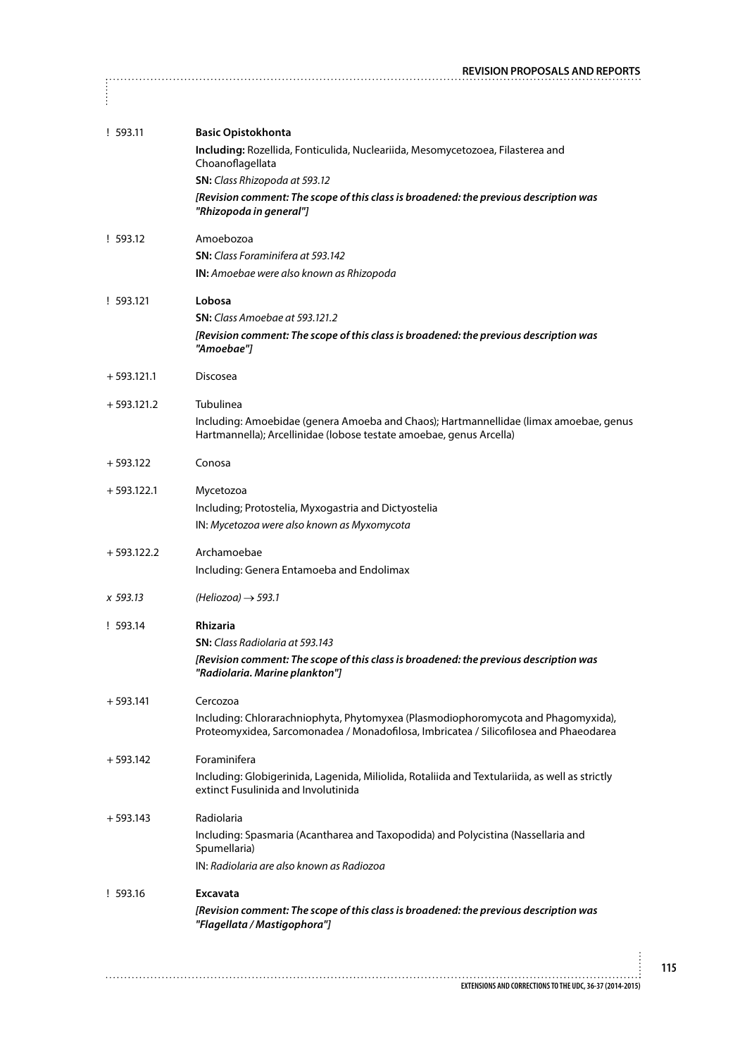|              | <b>REVISION PROPOSALS AND REPORTS</b>                                                                                                                                      |
|--------------|----------------------------------------------------------------------------------------------------------------------------------------------------------------------------|
| $\vdots$     |                                                                                                                                                                            |
| !593.11      | <b>Basic Opistokhonta</b><br>Including: Rozellida, Fonticulida, Nucleariida, Mesomycetozoea, Filasterea and                                                                |
|              | Choanoflagellata<br>SN: Class Rhizopoda at 593.12                                                                                                                          |
|              | [Revision comment: The scope of this class is broadened: the previous description was<br>"Rhizopoda in general"]                                                           |
| ! 593.12     | Amoebozoa                                                                                                                                                                  |
|              | <b>SN:</b> Class Foraminifera at 593.142                                                                                                                                   |
|              | IN: Amoebae were also known as Rhizopoda                                                                                                                                   |
| ! 593.121    | Lobosa                                                                                                                                                                     |
|              | <b>SN:</b> Class Amoebae at 593.121.2                                                                                                                                      |
|              | [Revision comment: The scope of this class is broadened: the previous description was<br>"Amoebae"]                                                                        |
| $+593.121.1$ | Discosea                                                                                                                                                                   |
| $+593.121.2$ | Tubulinea                                                                                                                                                                  |
|              | Including: Amoebidae (genera Amoeba and Chaos); Hartmannellidae (limax amoebae, genus<br>Hartmannella); Arcellinidae (lobose testate amoebae, genus Arcella)               |
| $+593.122$   | Conosa                                                                                                                                                                     |
| $+593.122.1$ | Mycetozoa                                                                                                                                                                  |
|              | Including; Protostelia, Myxogastria and Dictyostelia                                                                                                                       |
|              | IN: Mycetozoa were also known as Myxomycota                                                                                                                                |
| $+593.122.2$ | Archamoebae                                                                                                                                                                |
|              | Including: Genera Entamoeba and Endolimax                                                                                                                                  |
| x 593.13     | $(Heliozoa) \rightarrow 593.1$                                                                                                                                             |
| ! 593.14     | Rhizaria                                                                                                                                                                   |
|              | <b>SN:</b> Class Radiolaria at 593.143                                                                                                                                     |
|              | [Revision comment: The scope of this class is broadened: the previous description was<br>"Radiolaria. Marine plankton"]                                                    |
| $+593.141$   | Cercozoa                                                                                                                                                                   |
|              | Including: Chlorarachniophyta, Phytomyxea (Plasmodiophoromycota and Phagomyxida),<br>Proteomyxidea, Sarcomonadea / Monadofilosa, Imbricatea / Silicofilosea and Phaeodarea |
| $+593.142$   | Foraminifera                                                                                                                                                               |
|              | Including: Globigerinida, Lagenida, Miliolida, Rotaliida and Textulariida, as well as strictly<br>extinct Fusulinida and Involutinida                                      |
| $+593.143$   | Radiolaria                                                                                                                                                                 |
|              | Including: Spasmaria (Acantharea and Taxopodida) and Polycistina (Nassellaria and<br>Spumellaria)                                                                          |
|              | IN: Radiolaria are also known as Radiozoa                                                                                                                                  |
| ! 593.16     | <b>Excavata</b>                                                                                                                                                            |
|              | [Revision comment: The scope of this class is broadened: the previous description was<br>"Flagellata / Mastigophora"]                                                      |
|              |                                                                                                                                                                            |
|              | EXTENSIONS AND CORRECTIONS TO THE UDC, 36-37 (2014-2015)                                                                                                                   |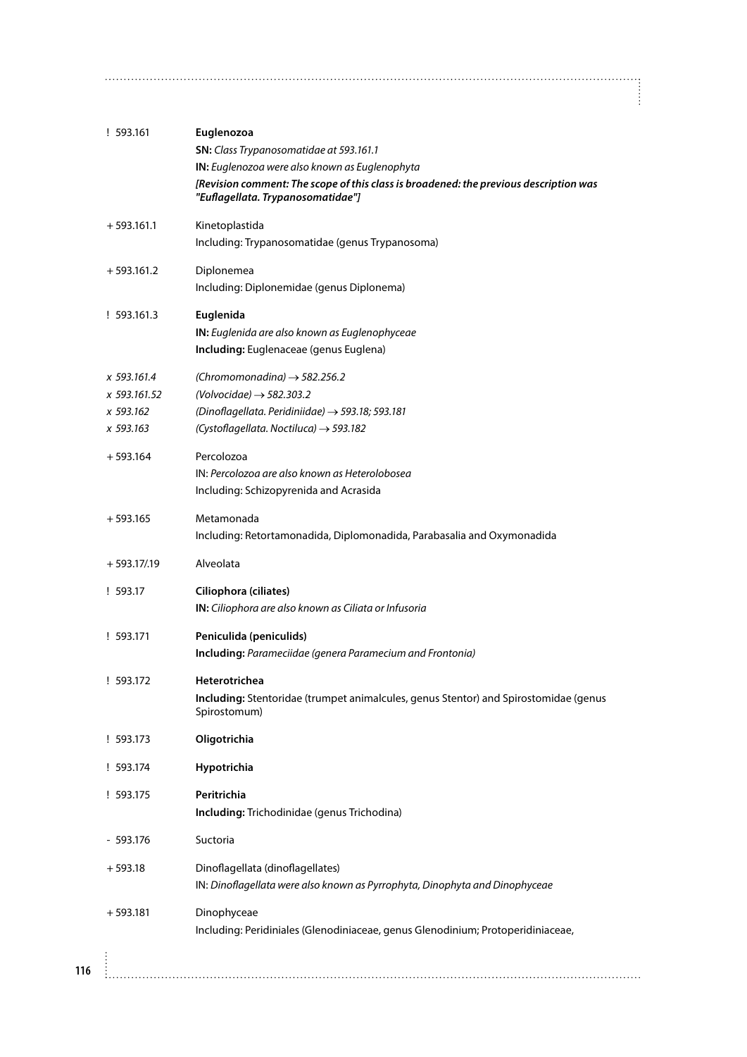| ! 593.161      | Euglenozoa<br>SN: Class Trypanosomatidae at 593.161.1                                                |
|----------------|------------------------------------------------------------------------------------------------------|
|                | IN: Euglenozoa were also known as Euglenophyta                                                       |
|                | [Revision comment: The scope of this class is broadened: the previous description was                |
|                | "Euflagellata. Trypanosomatidae"]                                                                    |
| $+593.161.1$   | Kinetoplastida                                                                                       |
|                | Including: Trypanosomatidae (genus Trypanosoma)                                                      |
| $+593.161.2$   | Diplonemea                                                                                           |
|                | Including: Diplonemidae (genus Diplonema)                                                            |
| ! 593.161.3    | Euglenida                                                                                            |
|                | IN: Euglenida are also known as Euglenophyceae                                                       |
|                | Including: Euglenaceae (genus Euglena)                                                               |
| x 593.161.4    | (Chromomonadina) $\rightarrow$ 582.256.2                                                             |
| x 593.161.52   | (Volvocidae) $\rightarrow$ 582.303.2                                                                 |
| x 593.162      | (Dinoflagellata. Peridiniidae) $\rightarrow$ 593.18; 593.181                                         |
| x 593.163      | (Cystoflagellata. Noctiluca) $\rightarrow$ 593.182                                                   |
| $+593.164$     | Percolozoa                                                                                           |
|                | IN: Percolozoa are also known as Heterolobosea                                                       |
|                | Including: Schizopyrenida and Acrasida                                                               |
| $+593.165$     | Metamonada                                                                                           |
|                | Including: Retortamonadida, Diplomonadida, Parabasalia and Oxymonadida                               |
| $+593.17/0.19$ | Alveolata                                                                                            |
| ! 593.17       | Ciliophora (ciliates)                                                                                |
|                | IN: Ciliophora are also known as Ciliata or Infusoria                                                |
| ! 593.171      | Peniculida (peniculids)                                                                              |
|                | Including: Parameciidae (genera Paramecium and Frontonia)                                            |
| ! 593.172      | Heterotrichea                                                                                        |
|                | Including: Stentoridae (trumpet animalcules, genus Stentor) and Spirostomidae (genus<br>Spirostomum) |
| ! 593.173      | Oligotrichia                                                                                         |
| ! 593.174      | Hypotrichia                                                                                          |
| ! 593.175      | Peritrichia                                                                                          |
|                | Including: Trichodinidae (genus Trichodina)                                                          |
| $-593.176$     | Suctoria                                                                                             |
| $+593.18$      | Dinoflagellata (dinoflagellates)                                                                     |
|                | IN: Dinoflagellata were also known as Pyrrophyta, Dinophyta and Dinophyceae                          |
| $+593.181$     | Dinophyceae                                                                                          |
|                | Including: Peridiniales (Glenodiniaceae, genus Glenodinium; Protoperidiniaceae,                      |